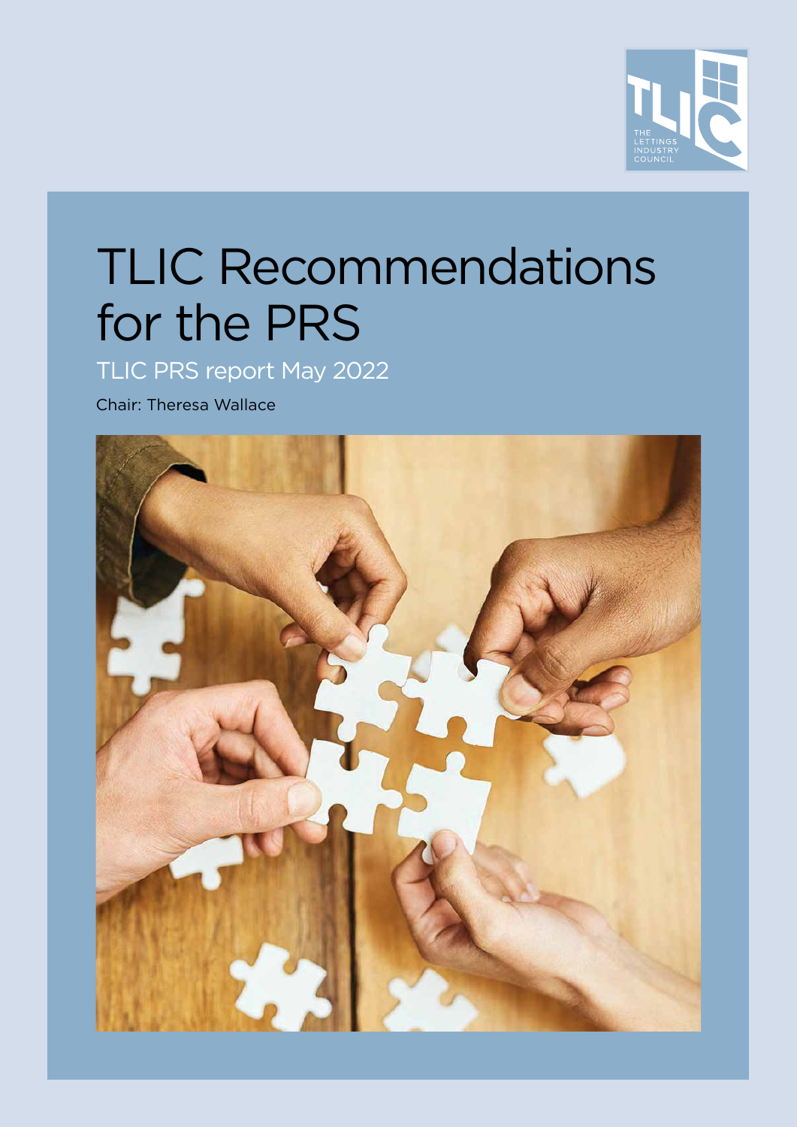

# TLIC Recommendations for the PRS

TLIC PRS report May 2022

Chair: Theresa Wallace

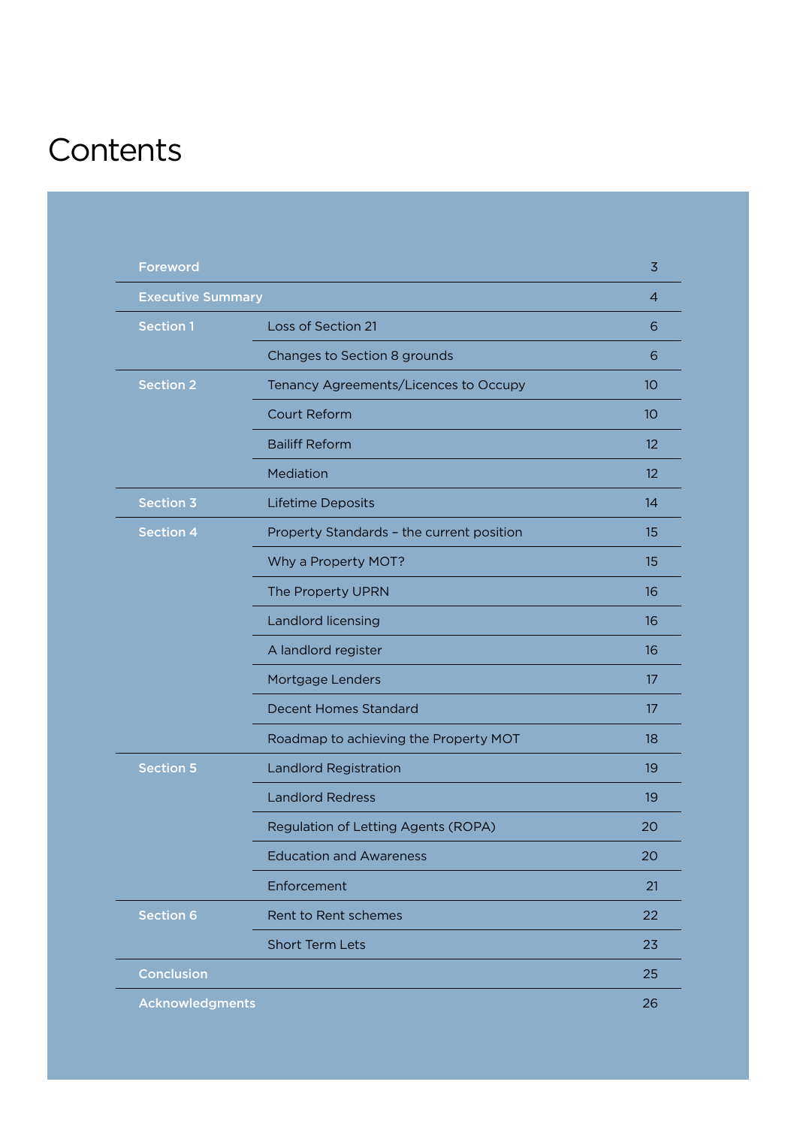## **Contents**

| <b>Foreword</b>          |                                           | 3                 |
|--------------------------|-------------------------------------------|-------------------|
| <b>Executive Summary</b> |                                           | 4                 |
| <b>Section 1</b>         | Loss of Section 21                        | 6                 |
|                          | Changes to Section 8 grounds              | 6                 |
| <b>Section 2</b>         | Tenancy Agreements/Licences to Occupy     | 10                |
|                          | <b>Court Reform</b>                       | 10                |
|                          | <b>Bailiff Reform</b>                     | 12                |
|                          | Mediation                                 | $12 \overline{ }$ |
| <b>Section 3</b>         | Lifetime Deposits                         | 14                |
| <b>Section 4</b>         | Property Standards - the current position | 15                |
|                          | Why a Property MOT?                       | 15                |
|                          | The Property UPRN                         | 16                |
|                          | Landlord licensing                        | 16                |
|                          | A landlord register                       | 16                |
|                          | Mortgage Lenders                          | 17                |
|                          | Decent Homes Standard                     | 17                |
|                          | Roadmap to achieving the Property MOT     | 18                |
| <b>Section 5</b>         | <b>Landlord Registration</b>              | 19                |
|                          | <b>Landlord Redress</b>                   | 19                |
|                          | Regulation of Letting Agents (ROPA)       | 20                |
|                          | <b>Education and Awareness</b>            | 20                |
|                          | Enforcement                               | 21                |
| <b>Section 6</b>         | Rent to Rent schemes                      | 22                |
|                          | <b>Short Term Lets</b>                    | 23                |
| Conclusion               |                                           | 25                |
| <b>Acknowledgments</b>   |                                           | 26                |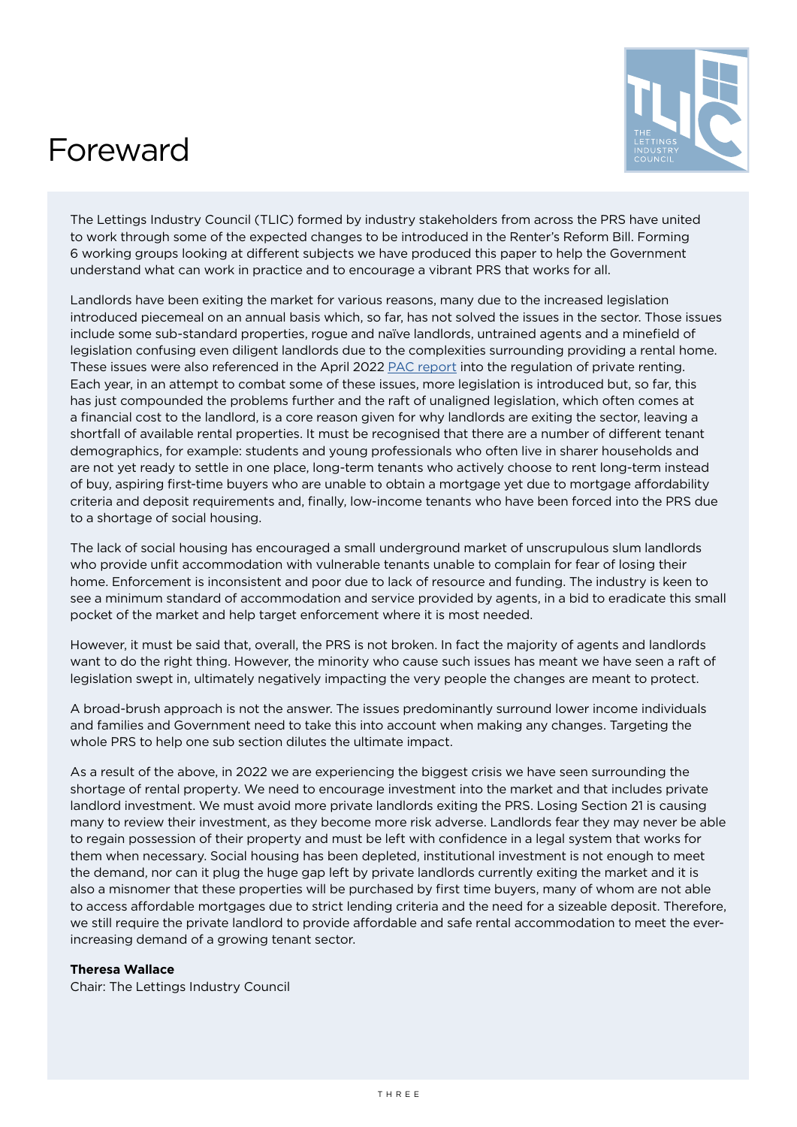### <span id="page-2-0"></span>Foreward



The Lettings Industry Council (TLIC) formed by industry stakeholders from across the PRS have united to work through some of the expected changes to be introduced in the Renter's Reform Bill. Forming 6 working groups looking at different subjects we have produced this paper to help the Government understand what can work in practice and to encourage a vibrant PRS that works for all.

Landlords have been exiting the market for various reasons, many due to the increased legislation introduced piecemeal on an annual basis which, so far, has not solved the issues in the sector. Those issues include some sub-standard properties, rogue and naïve landlords, untrained agents and a minefield of legislation confusing even diligent landlords due to the complexities surrounding providing a rental home. These issues were also referenced in the April 2022 [PAC report](https://publications.parliament.uk/pa/cm5802/cmselect/cmpubacc/996/summary.html) into the regulation of private renting. Each year, in an attempt to combat some of these issues, more legislation is introduced but, so far, this has just compounded the problems further and the raft of unaligned legislation, which often comes at a financial cost to the landlord, is a core reason given for why landlords are exiting the sector, leaving a shortfall of available rental properties. It must be recognised that there are a number of different tenant demographics, for example: students and young professionals who often live in sharer households and are not yet ready to settle in one place, long-term tenants who actively choose to rent long-term instead of buy, aspiring first-time buyers who are unable to obtain a mortgage yet due to mortgage affordability criteria and deposit requirements and, finally, low-income tenants who have been forced into the PRS due to a shortage of social housing.

The lack of social housing has encouraged a small underground market of unscrupulous slum landlords who provide unfit accommodation with vulnerable tenants unable to complain for fear of losing their home. Enforcement is inconsistent and poor due to lack of resource and funding. The industry is keen to see a minimum standard of accommodation and service provided by agents, in a bid to eradicate this small pocket of the market and help target enforcement where it is most needed.

However, it must be said that, overall, the PRS is not broken. In fact the majority of agents and landlords want to do the right thing. However, the minority who cause such issues has meant we have seen a raft of legislation swept in, ultimately negatively impacting the very people the changes are meant to protect.

A broad-brush approach is not the answer. The issues predominantly surround lower income individuals and families and Government need to take this into account when making any changes. Targeting the whole PRS to help one sub section dilutes the ultimate impact.

As a result of the above, in 2022 we are experiencing the biggest crisis we have seen surrounding the shortage of rental property. We need to encourage investment into the market and that includes private landlord investment. We must avoid more private landlords exiting the PRS. Losing Section 21 is causing many to review their investment, as they become more risk adverse. Landlords fear they may never be able to regain possession of their property and must be left with confidence in a legal system that works for them when necessary. Social housing has been depleted, institutional investment is not enough to meet the demand, nor can it plug the huge gap left by private landlords currently exiting the market and it is also a misnomer that these properties will be purchased by first time buyers, many of whom are not able to access affordable mortgages due to strict lending criteria and the need for a sizeable deposit. Therefore, we still require the private landlord to provide affordable and safe rental accommodation to meet the everincreasing demand of a growing tenant sector.

#### **Theresa Wallace**

Chair: The Lettings Industry Council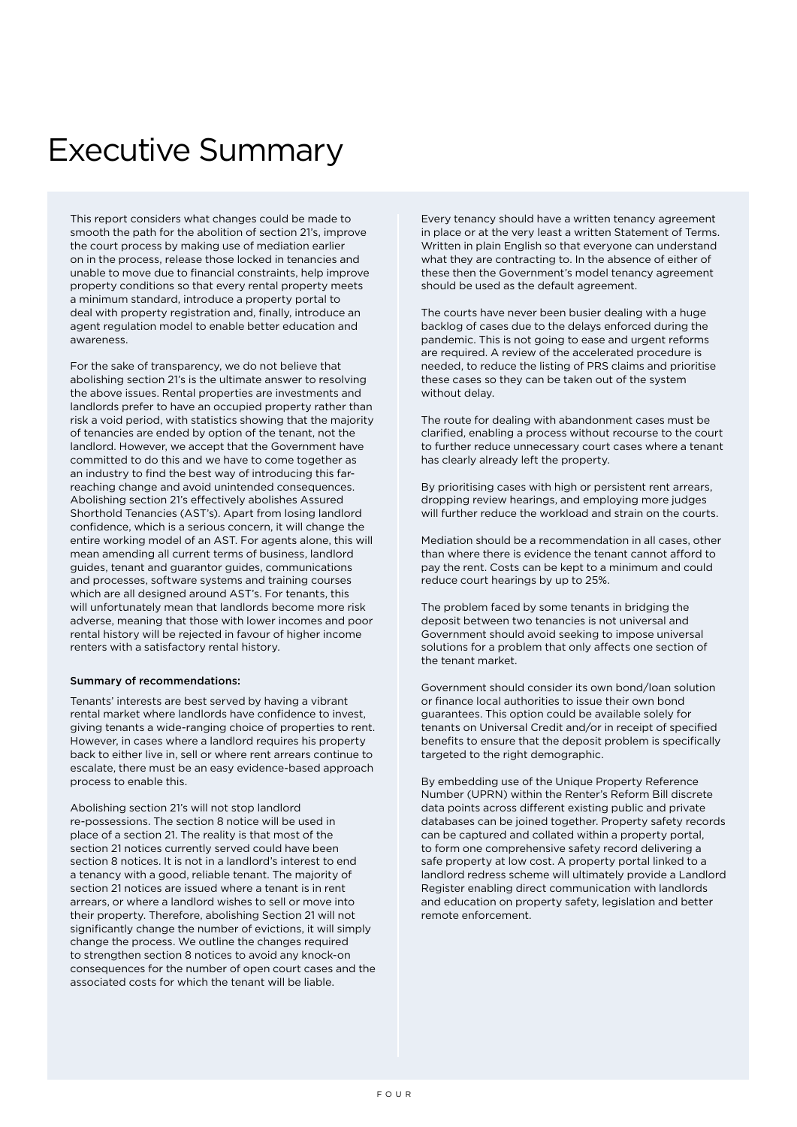### <span id="page-3-0"></span>Executive Summary

This report considers what changes could be made to smooth the path for the abolition of section 21's, improve the court process by making use of mediation earlier on in the process, release those locked in tenancies and unable to move due to financial constraints, help improve property conditions so that every rental property meets a minimum standard, introduce a property portal to deal with property registration and, finally, introduce an agent regulation model to enable better education and awareness.

For the sake of transparency, we do not believe that abolishing section 21's is the ultimate answer to resolving the above issues. Rental properties are investments and landlords prefer to have an occupied property rather than risk a void period, with statistics showing that the majority of tenancies are ended by option of the tenant, not the landlord. However, we accept that the Government have committed to do this and we have to come together as an industry to find the best way of introducing this farreaching change and avoid unintended consequences. Abolishing section 21's effectively abolishes Assured Shorthold Tenancies (AST's). Apart from losing landlord confidence, which is a serious concern, it will change the entire working model of an AST. For agents alone, this will mean amending all current terms of business, landlord guides, tenant and guarantor guides, communications and processes, software systems and training courses which are all designed around AST's. For tenants, this will unfortunately mean that landlords become more risk adverse, meaning that those with lower incomes and poor rental history will be rejected in favour of higher income renters with a satisfactory rental history.

#### Summary of recommendations:

Tenants' interests are best served by having a vibrant rental market where landlords have confidence to invest, giving tenants a wide-ranging choice of properties to rent. However, in cases where a landlord requires his property back to either live in, sell or where rent arrears continue to escalate, there must be an easy evidence-based approach process to enable this.

Abolishing section 21's will not stop landlord re-possessions. The section 8 notice will be used in place of a section 21. The reality is that most of the section 21 notices currently served could have been section 8 notices. It is not in a landlord's interest to end a tenancy with a good, reliable tenant. The majority of section 21 notices are issued where a tenant is in rent arrears, or where a landlord wishes to sell or move into their property. Therefore, abolishing Section 21 will not significantly change the number of evictions, it will simply change the process. We outline the changes required to strengthen section 8 notices to avoid any knock-on consequences for the number of open court cases and the associated costs for which the tenant will be liable.

Every tenancy should have a written tenancy agreement in place or at the very least a written Statement of Terms. Written in plain English so that everyone can understand what they are contracting to. In the absence of either of these then the Government's model tenancy agreement should be used as the default agreement.

The courts have never been busier dealing with a huge backlog of cases due to the delays enforced during the pandemic. This is not going to ease and urgent reforms are required. A review of the accelerated procedure is needed, to reduce the listing of PRS claims and prioritise these cases so they can be taken out of the system without delay.

The route for dealing with abandonment cases must be clarified, enabling a process without recourse to the court to further reduce unnecessary court cases where a tenant has clearly already left the property.

By prioritising cases with high or persistent rent arrears, dropping review hearings, and employing more judges will further reduce the workload and strain on the courts.

Mediation should be a recommendation in all cases, other than where there is evidence the tenant cannot afford to pay the rent. Costs can be kept to a minimum and could reduce court hearings by up to 25%.

The problem faced by some tenants in bridging the deposit between two tenancies is not universal and Government should avoid seeking to impose universal solutions for a problem that only affects one section of the tenant market.

Government should consider its own bond/loan solution or finance local authorities to issue their own bond guarantees. This option could be available solely for tenants on Universal Credit and/or in receipt of specified benefits to ensure that the deposit problem is specifically targeted to the right demographic.

By embedding use of the Unique Property Reference Number (UPRN) within the Renter's Reform Bill discrete data points across different existing public and private databases can be joined together. Property safety records can be captured and collated within a property portal, to form one comprehensive safety record delivering a safe property at low cost. A property portal linked to a landlord redress scheme will ultimately provide a Landlord Register enabling direct communication with landlords and education on property safety, legislation and better remote enforcement.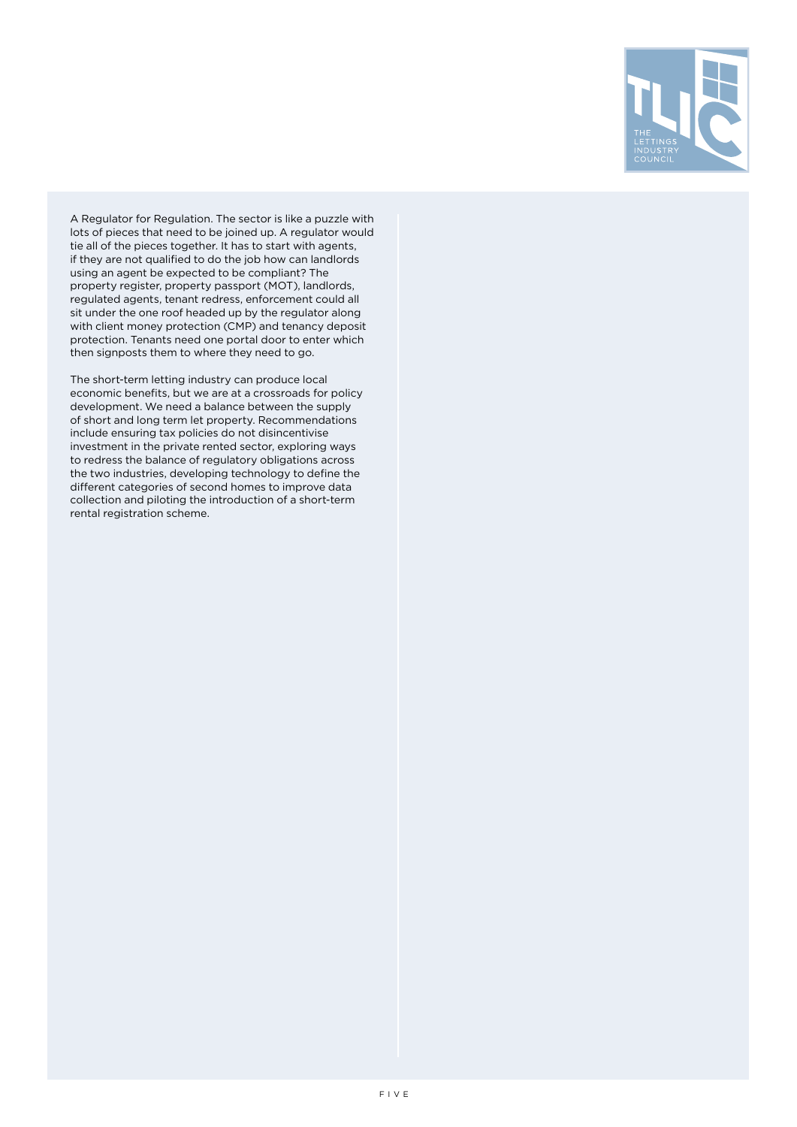

A Regulator for Regulation. The sector is like a puzzle with lots of pieces that need to be joined up. A regulator would tie all of the pieces together. It has to start with agents, if they are not qualified to do the job how can landlords using an agent be expected to be compliant? The property register, property passport (MOT), landlords, regulated agents, tenant redress, enforcement could all sit under the one roof headed up by the regulator along with client money protection (CMP) and tenancy deposit protection. Tenants need one portal door to enter which then signposts them to where they need to go.

The short-term letting industry can produce local economic benefits, but we are at a crossroads for policy development. We need a balance between the supply of short and long term let property. Recommendations include ensuring tax policies do not disincentivise investment in the private rented sector, exploring ways to redress the balance of regulatory obligations across the two industries, developing technology to define the different categories of second homes to improve data collection and piloting the introduction of a short-term rental registration scheme.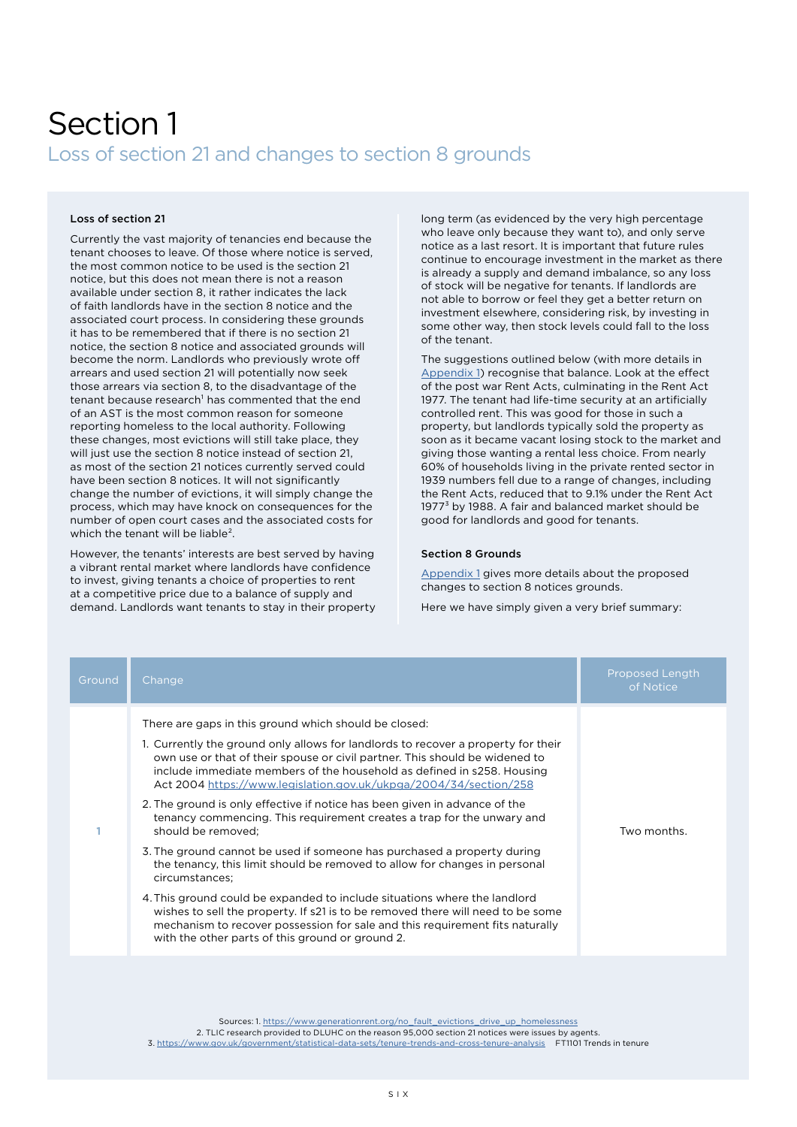### <span id="page-5-0"></span>Section 1 Loss of section 21 and changes to section 8 grounds

#### Loss of section 21

Currently the vast majority of tenancies end because the tenant chooses to leave. Of those where notice is served, the most common notice to be used is the section 21 notice, but this does not mean there is not a reason available under section 8, it rather indicates the lack of faith landlords have in the section 8 notice and the associated court process. In considering these grounds it has to be remembered that if there is no section 21 notice, the section 8 notice and associated grounds will become the norm. Landlords who previously wrote off arrears and used section 21 will potentially now seek those arrears via section 8, to the disadvantage of the tenant because research<sup>1</sup> has commented that the end of an AST is the most common reason for someone reporting homeless to the local authority. Following these changes, most evictions will still take place, they will just use the section 8 notice instead of section 21, as most of the section 21 notices currently served could have been section 8 notices. It will not significantly change the number of evictions, it will simply change the process, which may have knock on consequences for the number of open court cases and the associated costs for which the tenant will be liable<sup>2</sup>.

However, the tenants' interests are best served by having a vibrant rental market where landlords have confidence to invest, giving tenants a choice of properties to rent at a competitive price due to a balance of supply and demand. Landlords want tenants to stay in their property long term (as evidenced by the very high percentage who leave only because they want to), and only serve notice as a last resort. It is important that future rules continue to encourage investment in the market as there is already a supply and demand imbalance, so any loss of stock will be negative for tenants. If landlords are not able to borrow or feel they get a better return on investment elsewhere, considering risk, by investing in some other way, then stock levels could fall to the loss of the tenant.

The suggestions outlined below (with more details in [Appendix 1\)](https://www.thelettingsindustrycouncil.co.uk/_files/ugd/231fc4_fd2f326715454cc4ad3f40f7681ae118.pdf) recognise that balance. Look at the effect of the post war Rent Acts, culminating in the Rent Act 1977. The tenant had life-time security at an artificially controlled rent. This was good for those in such a property, but landlords typically sold the property as soon as it became vacant losing stock to the market and giving those wanting a rental less choice. From nearly 60% of households living in the private rented sector in 1939 numbers fell due to a range of changes, including the Rent Acts, reduced that to 9.1% under the Rent Act 1977<sup>3</sup> by 1988. A fair and balanced market should be good for landlords and good for tenants.

#### Section 8 Grounds

[Appendix 1](https://www.thelettingsindustrycouncil.co.uk/_files/ugd/231fc4_fd2f326715454cc4ad3f40f7681ae118.pdf) gives more details about the proposed changes to section 8 notices grounds.

Here we have simply given a very brief summary:

| Ground | Change                                                                                                                                                                                                                                                                                                                                                                                                                                                                                                                                                                                                                                                                                                                                                                                                                                                                                                                                                                                                                                | <b>Proposed Length</b><br>of Notice |
|--------|---------------------------------------------------------------------------------------------------------------------------------------------------------------------------------------------------------------------------------------------------------------------------------------------------------------------------------------------------------------------------------------------------------------------------------------------------------------------------------------------------------------------------------------------------------------------------------------------------------------------------------------------------------------------------------------------------------------------------------------------------------------------------------------------------------------------------------------------------------------------------------------------------------------------------------------------------------------------------------------------------------------------------------------|-------------------------------------|
|        | There are gaps in this ground which should be closed:<br>1. Currently the ground only allows for landlords to recover a property for their<br>own use or that of their spouse or civil partner. This should be widened to<br>include immediate members of the household as defined in s258. Housing<br>Act 2004 https://www.legislation.gov.uk/ukpga/2004/34/section/258<br>2. The ground is only effective if notice has been given in advance of the<br>tenancy commencing. This requirement creates a trap for the unwary and<br>should be removed;<br>3. The ground cannot be used if someone has purchased a property during<br>the tenancy, this limit should be removed to allow for changes in personal<br>circumstances;<br>4. This ground could be expanded to include situations where the landlord<br>wishes to sell the property. If s21 is to be removed there will need to be some<br>mechanism to recover possession for sale and this requirement fits naturally<br>with the other parts of this ground or ground 2. | Two months.                         |
|        |                                                                                                                                                                                                                                                                                                                                                                                                                                                                                                                                                                                                                                                                                                                                                                                                                                                                                                                                                                                                                                       |                                     |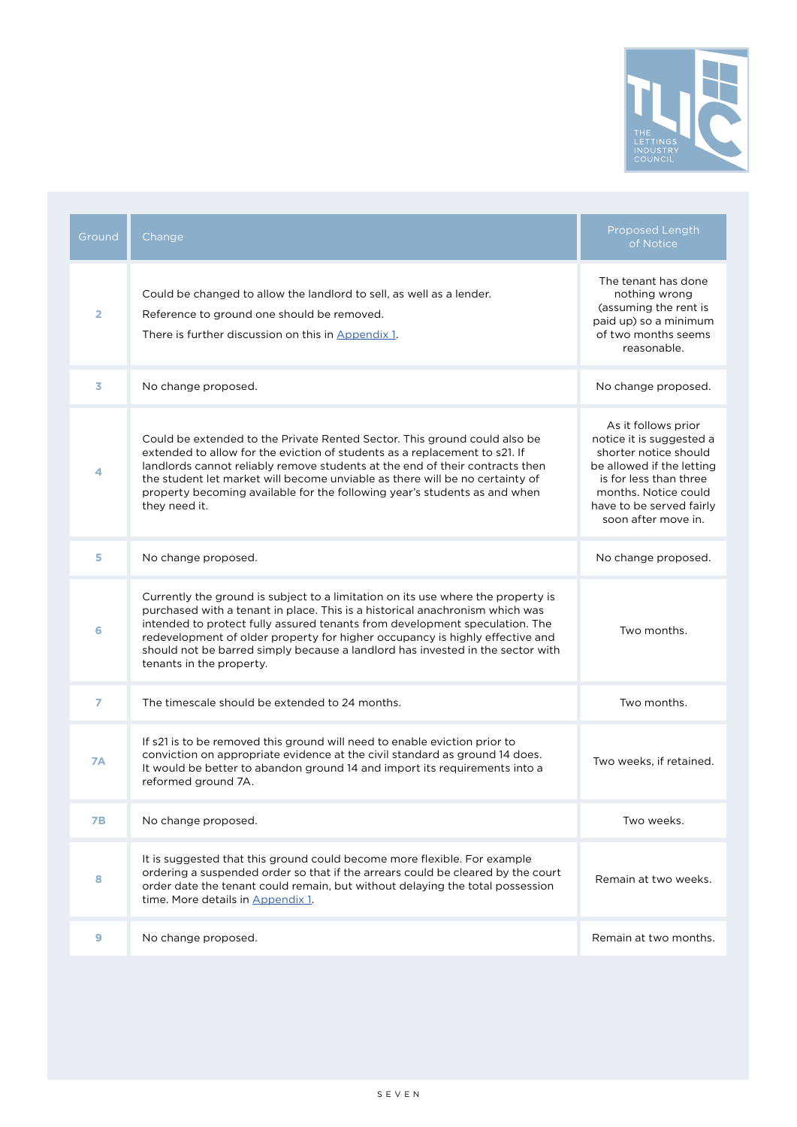

| Ground         | Change                                                                                                                                                                                                                                                                                                                                                                                                                                        | Proposed Length<br>of Notice                                                                                                                                                                               |
|----------------|-----------------------------------------------------------------------------------------------------------------------------------------------------------------------------------------------------------------------------------------------------------------------------------------------------------------------------------------------------------------------------------------------------------------------------------------------|------------------------------------------------------------------------------------------------------------------------------------------------------------------------------------------------------------|
| $\overline{2}$ | Could be changed to allow the landlord to sell, as well as a lender.<br>Reference to ground one should be removed.<br>There is further discussion on this in Appendix 1.                                                                                                                                                                                                                                                                      | The tenant has done<br>nothing wrong<br>(assuming the rent is<br>paid up) so a minimum<br>of two months seems<br>reasonable.                                                                               |
| 3              | No change proposed.                                                                                                                                                                                                                                                                                                                                                                                                                           | No change proposed.                                                                                                                                                                                        |
| 4              | Could be extended to the Private Rented Sector. This ground could also be<br>extended to allow for the eviction of students as a replacement to s21. If<br>landlords cannot reliably remove students at the end of their contracts then<br>the student let market will become unviable as there will be no certainty of<br>property becoming available for the following year's students as and when<br>they need it.                         | As it follows prior<br>notice it is suggested a<br>shorter notice should<br>be allowed if the letting<br>is for less than three<br>months. Notice could<br>have to be served fairly<br>soon after move in. |
| 5              | No change proposed.                                                                                                                                                                                                                                                                                                                                                                                                                           | No change proposed.                                                                                                                                                                                        |
| 6              | Currently the ground is subject to a limitation on its use where the property is<br>purchased with a tenant in place. This is a historical anachronism which was<br>intended to protect fully assured tenants from development speculation. The<br>redevelopment of older property for higher occupancy is highly effective and<br>should not be barred simply because a landlord has invested in the sector with<br>tenants in the property. | Two months.                                                                                                                                                                                                |
| $\overline{ }$ | The timescale should be extended to 24 months.                                                                                                                                                                                                                                                                                                                                                                                                | Two months.                                                                                                                                                                                                |
| <b>7A</b>      | If s21 is to be removed this ground will need to enable eviction prior to<br>conviction on appropriate evidence at the civil standard as ground 14 does.<br>It would be better to abandon ground 14 and import its requirements into a<br>reformed ground 7A.                                                                                                                                                                                 | Two weeks, if retained.                                                                                                                                                                                    |
| 7В             | No change proposed.                                                                                                                                                                                                                                                                                                                                                                                                                           | Two weeks.                                                                                                                                                                                                 |
| 8              | It is suggested that this ground could become more flexible. For example<br>ordering a suspended order so that if the arrears could be cleared by the court<br>order date the tenant could remain, but without delaying the total possession<br>time. More details in Appendix 1.                                                                                                                                                             | Remain at two weeks.                                                                                                                                                                                       |
| 9              | No change proposed.                                                                                                                                                                                                                                                                                                                                                                                                                           | Remain at two months.                                                                                                                                                                                      |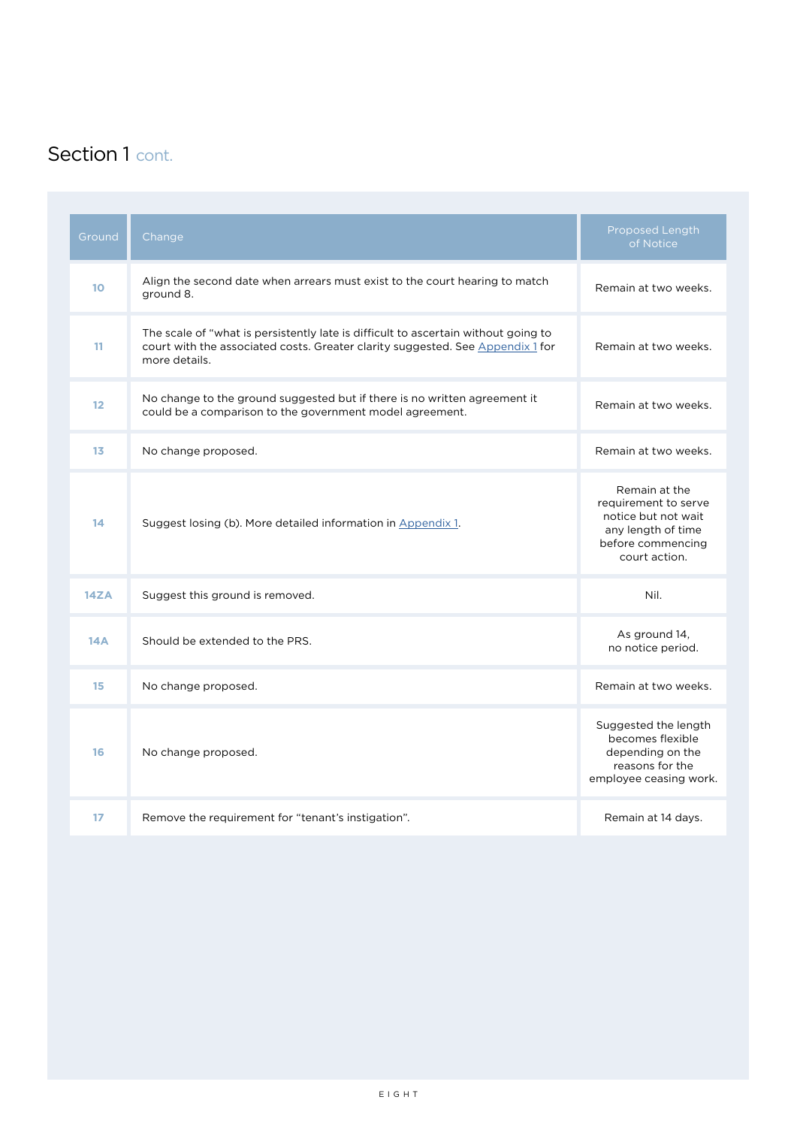### Section 1 cont.

| Ground         | Change                                                                                                                                                                                | Proposed Length<br>of Notice                                                                                             |
|----------------|---------------------------------------------------------------------------------------------------------------------------------------------------------------------------------------|--------------------------------------------------------------------------------------------------------------------------|
| 10             | Align the second date when arrears must exist to the court hearing to match<br>ground 8.                                                                                              | Remain at two weeks.                                                                                                     |
| 11             | The scale of "what is persistently late is difficult to ascertain without going to<br>court with the associated costs. Greater clarity suggested. See Appendix 1 for<br>more details. | Remain at two weeks.                                                                                                     |
| 12             | No change to the ground suggested but if there is no written agreement it<br>could be a comparison to the government model agreement.                                                 | Remain at two weeks.                                                                                                     |
| 1 <sub>3</sub> | No change proposed.                                                                                                                                                                   | Remain at two weeks.                                                                                                     |
| 14             | Suggest losing (b). More detailed information in Appendix 1.                                                                                                                          | Remain at the<br>requirement to serve<br>notice but not wait<br>any length of time<br>before commencing<br>court action. |
| 14ZA           | Suggest this ground is removed.                                                                                                                                                       | Nil.                                                                                                                     |
| 14A            | Should be extended to the PRS.                                                                                                                                                        | As ground 14,<br>no notice period.                                                                                       |
| 15             | No change proposed.                                                                                                                                                                   | Remain at two weeks.                                                                                                     |
| 16             | No change proposed.                                                                                                                                                                   | Suggested the length<br>becomes flexible<br>depending on the<br>reasons for the<br>employee ceasing work.                |
| 17             | Remove the requirement for "tenant's instigation".                                                                                                                                    | Remain at 14 days.                                                                                                       |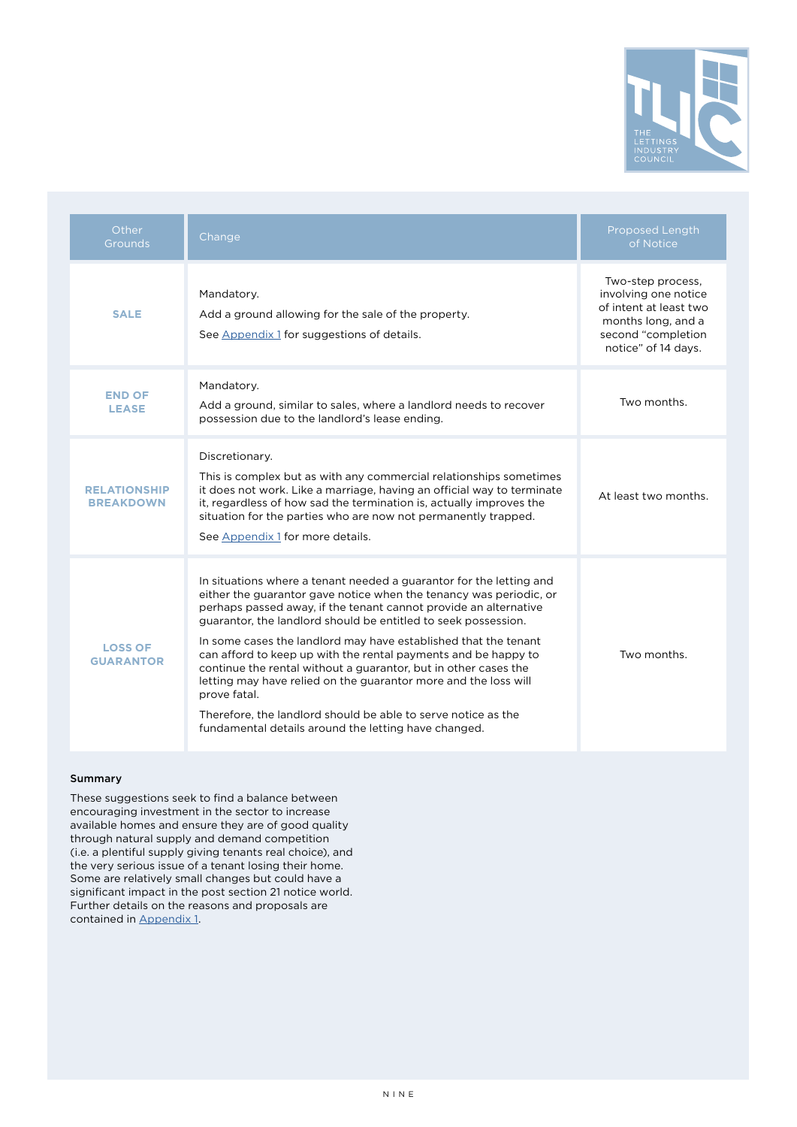

| Other<br>Grounds                        | Change                                                                                                                                                                                                                                                                                                                                                                                                                                                                                                                                                                                                                                                                                              | Proposed Length<br>of Notice                                                                                                           |
|-----------------------------------------|-----------------------------------------------------------------------------------------------------------------------------------------------------------------------------------------------------------------------------------------------------------------------------------------------------------------------------------------------------------------------------------------------------------------------------------------------------------------------------------------------------------------------------------------------------------------------------------------------------------------------------------------------------------------------------------------------------|----------------------------------------------------------------------------------------------------------------------------------------|
| <b>SALE</b>                             | Mandatory.<br>Add a ground allowing for the sale of the property.<br>See Appendix 1 for suggestions of details.                                                                                                                                                                                                                                                                                                                                                                                                                                                                                                                                                                                     | Two-step process,<br>involving one notice<br>of intent at least two<br>months long, and a<br>second "completion<br>notice" of 14 days. |
| <b>END OF</b><br><b>LEASE</b>           | Mandatory.<br>Add a ground, similar to sales, where a landlord needs to recover<br>possession due to the landlord's lease ending.                                                                                                                                                                                                                                                                                                                                                                                                                                                                                                                                                                   | Two months.                                                                                                                            |
| <b>RELATIONSHIP</b><br><b>BREAKDOWN</b> | Discretionary.<br>This is complex but as with any commercial relationships sometimes<br>it does not work. Like a marriage, having an official way to terminate<br>it, regardless of how sad the termination is, actually improves the<br>situation for the parties who are now not permanently trapped.<br>See Appendix 1 for more details.                                                                                                                                                                                                                                                                                                                                                         | At least two months.                                                                                                                   |
| <b>LOSS OF</b><br><b>GUARANTOR</b>      | In situations where a tenant needed a guarantor for the letting and<br>either the guarantor gave notice when the tenancy was periodic, or<br>perhaps passed away, if the tenant cannot provide an alternative<br>guarantor, the landlord should be entitled to seek possession.<br>In some cases the landlord may have established that the tenant<br>can afford to keep up with the rental payments and be happy to<br>continue the rental without a guarantor, but in other cases the<br>letting may have relied on the guarantor more and the loss will<br>prove fatal.<br>Therefore, the landlord should be able to serve notice as the<br>fundamental details around the letting have changed. | Two months.                                                                                                                            |

#### Summary

These suggestions seek to find a balance between encouraging investment in the sector to increase available homes and ensure they are of good quality through natural supply and demand competition (i.e. a plentiful supply giving tenants real choice), and the very serious issue of a tenant losing their home. Some are relatively small changes but could have a significant impact in the post section 21 notice world. Further details on the reasons and proposals are contained in [Appendix 1](https://www.thelettingsindustrycouncil.co.uk/_files/ugd/231fc4_fd2f326715454cc4ad3f40f7681ae118.pdf).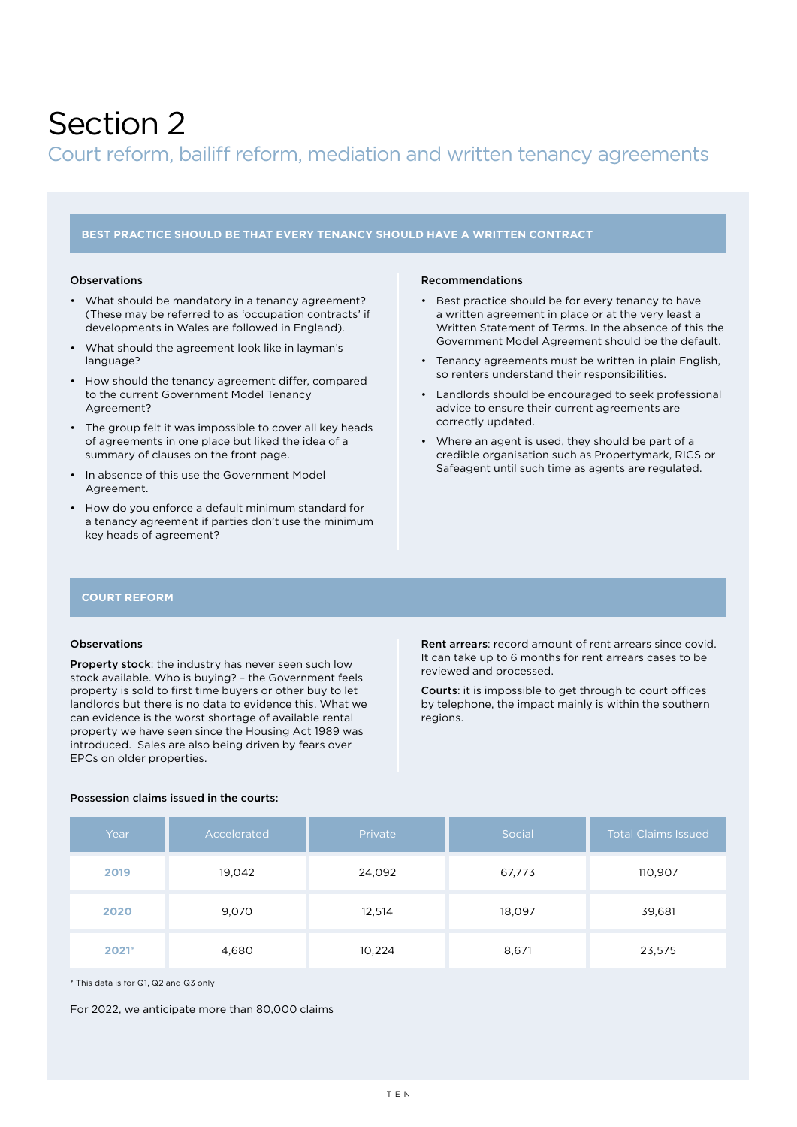### <span id="page-9-0"></span>Section 2

#### Court reform, bailiff reform, mediation and written tenancy agreements

#### **BEST PRACTICE SHOULD BE THAT EVERY TENANCY SHOULD HAVE A WRITTEN CONTRACT**

#### Observations

- What should be mandatory in a tenancy agreement? (These may be referred to as 'occupation contracts' if developments in Wales are followed in England).
- What should the agreement look like in layman's language?
- How should the tenancy agreement differ, compared to the current Government Model Tenancy Agreement?
- The group felt it was impossible to cover all key heads of agreements in one place but liked the idea of a summary of clauses on the front page.
- In absence of this use the Government Model Agreement.
- How do you enforce a default minimum standard for a tenancy agreement if parties don't use the minimum key heads of agreement?

#### Recommendations

- Best practice should be for every tenancy to have a written agreement in place or at the very least a Written Statement of Terms. In the absence of this the Government Model Agreement should be the default.
- Tenancy agreements must be written in plain English, so renters understand their responsibilities.
- Landlords should be encouraged to seek professional advice to ensure their current agreements are correctly updated.
- Where an agent is used, they should be part of a credible organisation such as Propertymark, RICS or Safeagent until such time as agents are regulated.

#### **COURT REFORM**

#### Observations

Property stock: the industry has never seen such low stock available. Who is buying? – the Government feels property is sold to first time buyers or other buy to let landlords but there is no data to evidence this. What we can evidence is the worst shortage of available rental property we have seen since the Housing Act 1989 was introduced. Sales are also being driven by fears over EPCs on older properties.

Rent arrears: record amount of rent arrears since covid. It can take up to 6 months for rent arrears cases to be reviewed and processed.

Courts: it is impossible to get through to court offices by telephone, the impact mainly is within the southern regions.

| Year    | Accelerated | Private | Social | <b>Total Claims Issued</b> |
|---------|-------------|---------|--------|----------------------------|
| 2019    | 19,042      | 24,092  | 67,773 | 110,907                    |
| 2020    | 9,070       | 12,514  | 18,097 | 39,681                     |
| $2021*$ | 4,680       | 10,224  | 8,671  | 23,575                     |

#### Possession claims issued in the courts:

\* This data is for Q1, Q2 and Q3 only

For 2022, we anticipate more than 80,000 claims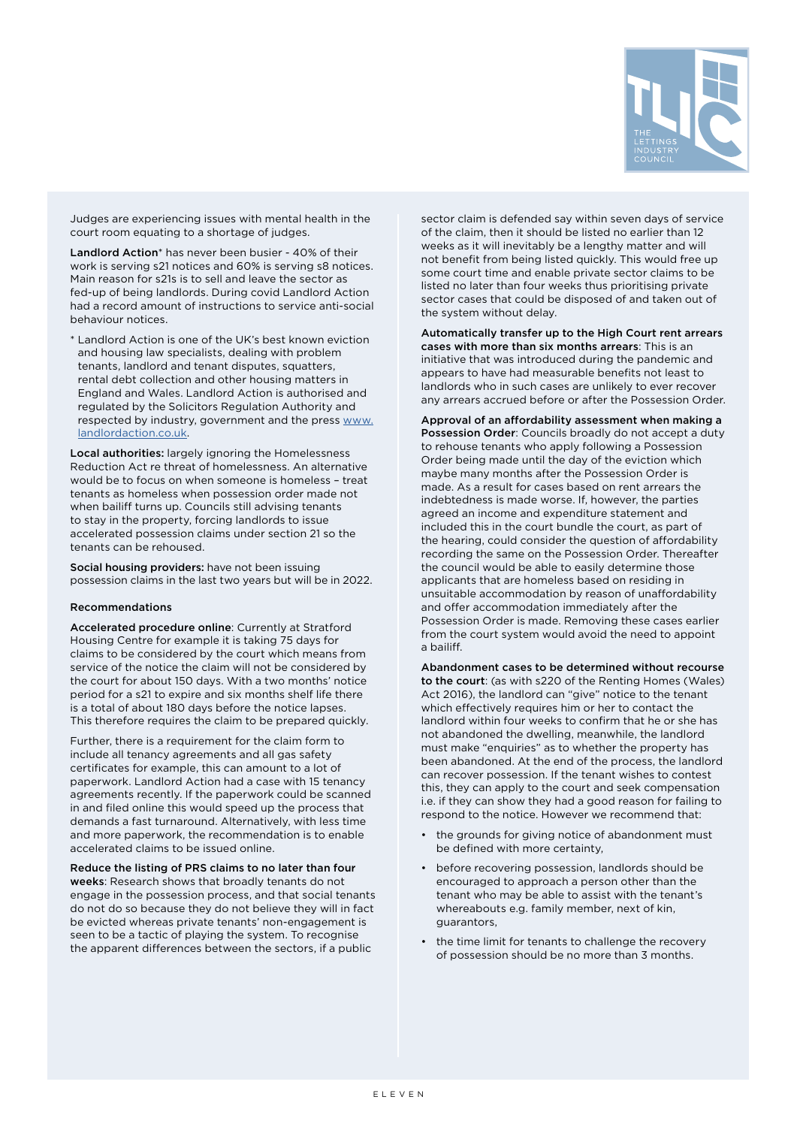

Judges are experiencing issues with mental health in the court room equating to a shortage of judges.

Landlord Action\* has never been busier - 40% of their work is serving s21 notices and 60% is serving s8 notices. Main reason for s21s is to sell and leave the sector as fed-up of being landlords. During covid Landlord Action had a record amount of instructions to service anti-social behaviour notices.

Landlord Action is one of the UK's best known eviction and housing law specialists, dealing with problem tenants, landlord and tenant disputes, squatters, rental debt collection and other housing matters in England and Wales. Landlord Action is authorised and regulated by the Solicitors Regulation Authority and respected by industry, government and the press [www.](http://www.landlordaction.co.uk) [landlordaction.co.uk.](http://www.landlordaction.co.uk)

Local authorities: largely ignoring the Homelessness Reduction Act re threat of homelessness. An alternative would be to focus on when someone is homeless – treat tenants as homeless when possession order made not when bailiff turns up. Councils still advising tenants to stay in the property, forcing landlords to issue accelerated possession claims under section 21 so the tenants can be rehoused.

Social housing providers: have not been issuing possession claims in the last two years but will be in 2022.

#### Recommendations

Accelerated procedure online: Currently at Stratford Housing Centre for example it is taking 75 days for claims to be considered by the court which means from service of the notice the claim will not be considered by the court for about 150 days. With a two months' notice period for a s21 to expire and six months shelf life there is a total of about 180 days before the notice lapses. This therefore requires the claim to be prepared quickly.

Further, there is a requirement for the claim form to include all tenancy agreements and all gas safety certificates for example, this can amount to a lot of paperwork. Landlord Action had a case with 15 tenancy agreements recently. If the paperwork could be scanned in and filed online this would speed up the process that demands a fast turnaround. Alternatively, with less time and more paperwork, the recommendation is to enable accelerated claims to be issued online.

Reduce the listing of PRS claims to no later than four weeks: Research shows that broadly tenants do not engage in the possession process, and that social tenants do not do so because they do not believe they will in fact be evicted whereas private tenants' non-engagement is seen to be a tactic of playing the system. To recognise the apparent differences between the sectors, if a public

sector claim is defended say within seven days of service of the claim, then it should be listed no earlier than 12 weeks as it will inevitably be a lengthy matter and will not benefit from being listed quickly. This would free up some court time and enable private sector claims to be listed no later than four weeks thus prioritising private sector cases that could be disposed of and taken out of the system without delay.

Automatically transfer up to the High Court rent arrears cases with more than six months arrears: This is an initiative that was introduced during the pandemic and appears to have had measurable benefits not least to landlords who in such cases are unlikely to ever recover any arrears accrued before or after the Possession Order.

Approval of an affordability assessment when making a Possession Order: Councils broadly do not accept a duty to rehouse tenants who apply following a Possession Order being made until the day of the eviction which maybe many months after the Possession Order is made. As a result for cases based on rent arrears the indebtedness is made worse. If, however, the parties agreed an income and expenditure statement and included this in the court bundle the court, as part of the hearing, could consider the question of affordability recording the same on the Possession Order. Thereafter the council would be able to easily determine those applicants that are homeless based on residing in unsuitable accommodation by reason of unaffordability and offer accommodation immediately after the Possession Order is made. Removing these cases earlier from the court system would avoid the need to appoint a bailiff.

Abandonment cases to be determined without recourse to the court: (as with s220 of the Renting Homes (Wales) Act 2016), the landlord can "give" notice to the tenant which effectively requires him or her to contact the landlord within four weeks to confirm that he or she has not abandoned the dwelling, meanwhile, the landlord must make "enquiries" as to whether the property has been abandoned. At the end of the process, the landlord can recover possession. If the tenant wishes to contest this, they can apply to the court and seek compensation i.e. if they can show they had a good reason for failing to respond to the notice. However we recommend that:

- the grounds for giving notice of abandonment must be defined with more certainty,
- before recovering possession, landlords should be encouraged to approach a person other than the tenant who may be able to assist with the tenant's whereabouts e.g. family member, next of kin, guarantors,
- the time limit for tenants to challenge the recovery of possession should be no more than 3 months.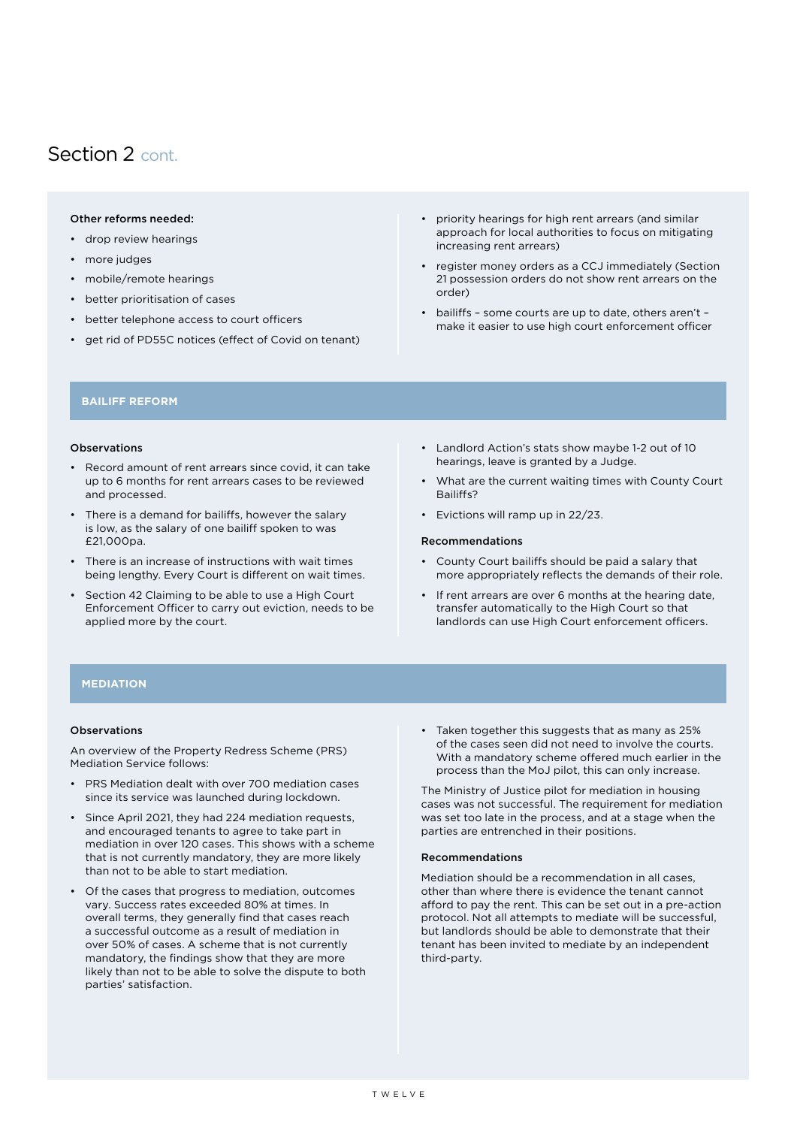### <span id="page-11-0"></span>Section 2 cont.

#### Other reforms needed:

- drop review hearings
- more judges
- mobile/remote hearings
- better prioritisation of cases
- better telephone access to court officers
- get rid of PD55C notices (effect of Covid on tenant)
- priority hearings for high rent arrears (and similar approach for local authorities to focus on mitigating increasing rent arrears)
- register money orders as a CCJ immediately (Section 21 possession orders do not show rent arrears on the order)
- bailiffs some courts are up to date, others aren't make it easier to use high court enforcement officer

#### **BAILIFF REFORM**

#### Observations

- Record amount of rent arrears since covid, it can take up to 6 months for rent arrears cases to be reviewed and processed.
- There is a demand for bailiffs, however the salary is low, as the salary of one bailiff spoken to was £21,000pa.
- There is an increase of instructions with wait times being lengthy. Every Court is different on wait times.
- Section 42 Claiming to be able to use a High Court Enforcement Officer to carry out eviction, needs to be applied more by the court.
- Landlord Action's stats show maybe 1-2 out of 10 hearings, leave is granted by a Judge.
- What are the current waiting times with County Court Bailiffs?
- Evictions will ramp up in 22/23.

#### Recommendations

- County Court bailiffs should be paid a salary that more appropriately reflects the demands of their role.
- If rent arrears are over 6 months at the hearing date, transfer automatically to the High Court so that landlords can use High Court enforcement officers.

#### **MEDIATION**

#### Observations

An overview of the Property Redress Scheme (PRS) Mediation Service follows:

- PRS Mediation dealt with over 700 mediation cases since its service was launched during lockdown.
- Since April 2021, they had 224 mediation requests, and encouraged tenants to agree to take part in mediation in over 120 cases. This shows with a scheme that is not currently mandatory, they are more likely than not to be able to start mediation.
- Of the cases that progress to mediation, outcomes vary. Success rates exceeded 80% at times. In overall terms, they generally find that cases reach a successful outcome as a result of mediation in over 50% of cases. A scheme that is not currently mandatory, the findings show that they are more likely than not to be able to solve the dispute to both parties' satisfaction.

• Taken together this suggests that as many as 25% of the cases seen did not need to involve the courts. With a mandatory scheme offered much earlier in the process than the MoJ pilot, this can only increase.

The Ministry of Justice pilot for mediation in housing cases was not successful. The requirement for mediation was set too late in the process, and at a stage when the parties are entrenched in their positions.

#### Recommendations

Mediation should be a recommendation in all cases, other than where there is evidence the tenant cannot afford to pay the rent. This can be set out in a pre-action protocol. Not all attempts to mediate will be successful, but landlords should be able to demonstrate that their tenant has been invited to mediate by an independent third-party.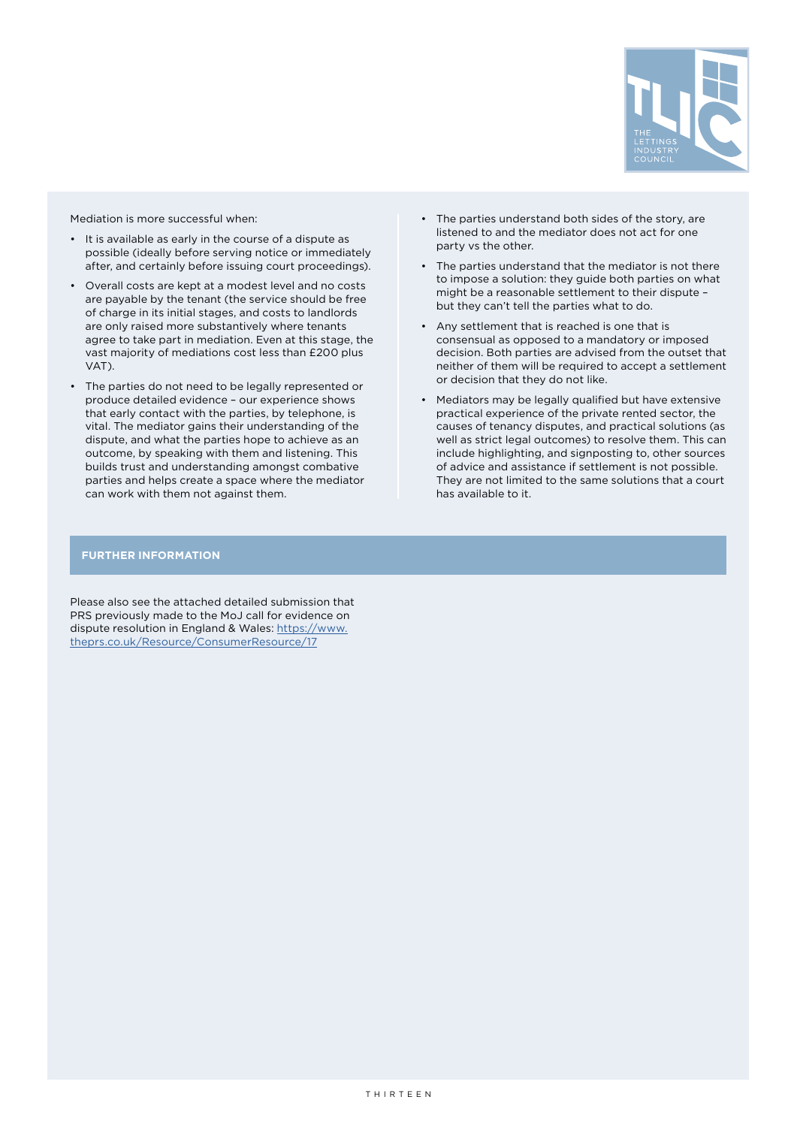

Mediation is more successful when:

- It is available as early in the course of a dispute as possible (ideally before serving notice or immediately after, and certainly before issuing court proceedings).
- Overall costs are kept at a modest level and no costs are payable by the tenant (the service should be free of charge in its initial stages, and costs to landlords are only raised more substantively where tenants agree to take part in mediation. Even at this stage, the vast majority of mediations cost less than £200 plus VAT).
- The parties do not need to be legally represented or produce detailed evidence – our experience shows that early contact with the parties, by telephone, is vital. The mediator gains their understanding of the dispute, and what the parties hope to achieve as an outcome, by speaking with them and listening. This builds trust and understanding amongst combative parties and helps create a space where the mediator can work with them not against them.
- The parties understand both sides of the story, are listened to and the mediator does not act for one party vs the other.
- The parties understand that the mediator is not there to impose a solution: they guide both parties on what might be a reasonable settlement to their dispute – but they can't tell the parties what to do.
- Any settlement that is reached is one that is consensual as opposed to a mandatory or imposed decision. Both parties are advised from the outset that neither of them will be required to accept a settlement or decision that they do not like.
- Mediators may be legally qualified but have extensive practical experience of the private rented sector, the causes of tenancy disputes, and practical solutions (as well as strict legal outcomes) to resolve them. This can include highlighting, and signposting to, other sources of advice and assistance if settlement is not possible. They are not limited to the same solutions that a court has available to it.

#### **FURTHER INFORMATION**

Please also see the attached detailed submission that PRS previously made to the MoJ call for evidence on dispute resolution in England & Wales: [https://www.](https://www.theprs.co.uk/Resource/ConsumerResource/17) [theprs.co.uk/Resource/ConsumerResource/17](https://www.theprs.co.uk/Resource/ConsumerResource/17)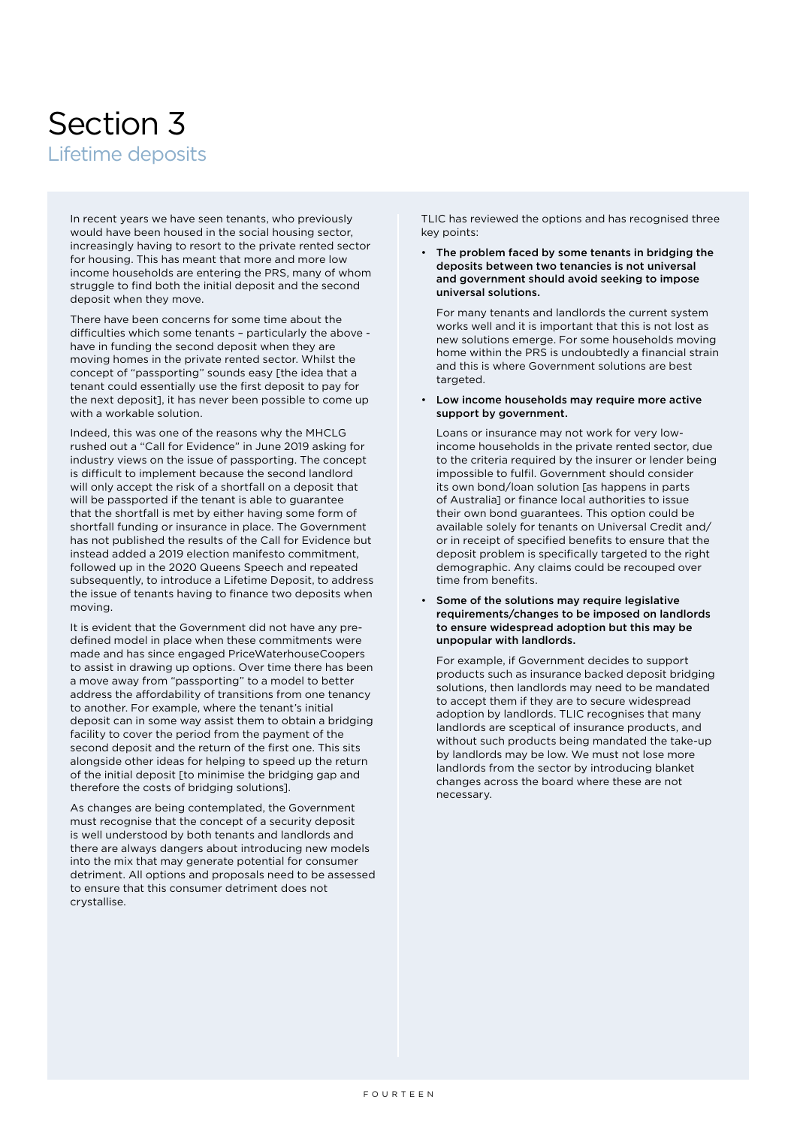### <span id="page-13-0"></span>Section 3 Lifetime deposits

In recent years we have seen tenants, who previously would have been housed in the social housing sector, increasingly having to resort to the private rented sector for housing. This has meant that more and more low income households are entering the PRS, many of whom struggle to find both the initial deposit and the second deposit when they move.

There have been concerns for some time about the difficulties which some tenants – particularly the above have in funding the second deposit when they are moving homes in the private rented sector. Whilst the concept of "passporting" sounds easy [the idea that a tenant could essentially use the first deposit to pay for the next deposit], it has never been possible to come up with a workable solution.

Indeed, this was one of the reasons why the MHCLG rushed out a "Call for Evidence" in June 2019 asking for industry views on the issue of passporting. The concept is difficult to implement because the second landlord will only accept the risk of a shortfall on a deposit that will be passported if the tenant is able to guarantee that the shortfall is met by either having some form of shortfall funding or insurance in place. The Government has not published the results of the Call for Evidence but instead added a 2019 election manifesto commitment, followed up in the 2020 Queens Speech and repeated subsequently, to introduce a Lifetime Deposit, to address the issue of tenants having to finance two deposits when moving.

It is evident that the Government did not have any predefined model in place when these commitments were made and has since engaged PriceWaterhouseCoopers to assist in drawing up options. Over time there has been a move away from "passporting" to a model to better address the affordability of transitions from one tenancy to another. For example, where the tenant's initial deposit can in some way assist them to obtain a bridging facility to cover the period from the payment of the second deposit and the return of the first one. This sits alongside other ideas for helping to speed up the return of the initial deposit [to minimise the bridging gap and therefore the costs of bridging solutions].

As changes are being contemplated, the Government must recognise that the concept of a security deposit is well understood by both tenants and landlords and there are always dangers about introducing new models into the mix that may generate potential for consumer detriment. All options and proposals need to be assessed to ensure that this consumer detriment does not crystallise.

TLIC has reviewed the options and has recognised three key points:

• The problem faced by some tenants in bridging the deposits between two tenancies is not universal and government should avoid seeking to impose universal solutions.

For many tenants and landlords the current system works well and it is important that this is not lost as new solutions emerge. For some households moving home within the PRS is undoubtedly a financial strain and this is where Government solutions are best targeted

• Low income households may require more active support by government.

Loans or insurance may not work for very lowincome households in the private rented sector, due to the criteria required by the insurer or lender being impossible to fulfil. Government should consider its own bond/loan solution [as happens in parts of Australia] or finance local authorities to issue their own bond guarantees. This option could be available solely for tenants on Universal Credit and/ or in receipt of specified benefits to ensure that the deposit problem is specifically targeted to the right demographic. Any claims could be recouped over time from benefits.

Some of the solutions may require legislative requirements/changes to be imposed on landlords to ensure widespread adoption but this may be unpopular with landlords.

For example, if Government decides to support products such as insurance backed deposit bridging solutions, then landlords may need to be mandated to accept them if they are to secure widespread adoption by landlords. TLIC recognises that many landlords are sceptical of insurance products, and without such products being mandated the take-up by landlords may be low. We must not lose more landlords from the sector by introducing blanket changes across the board where these are not necessary.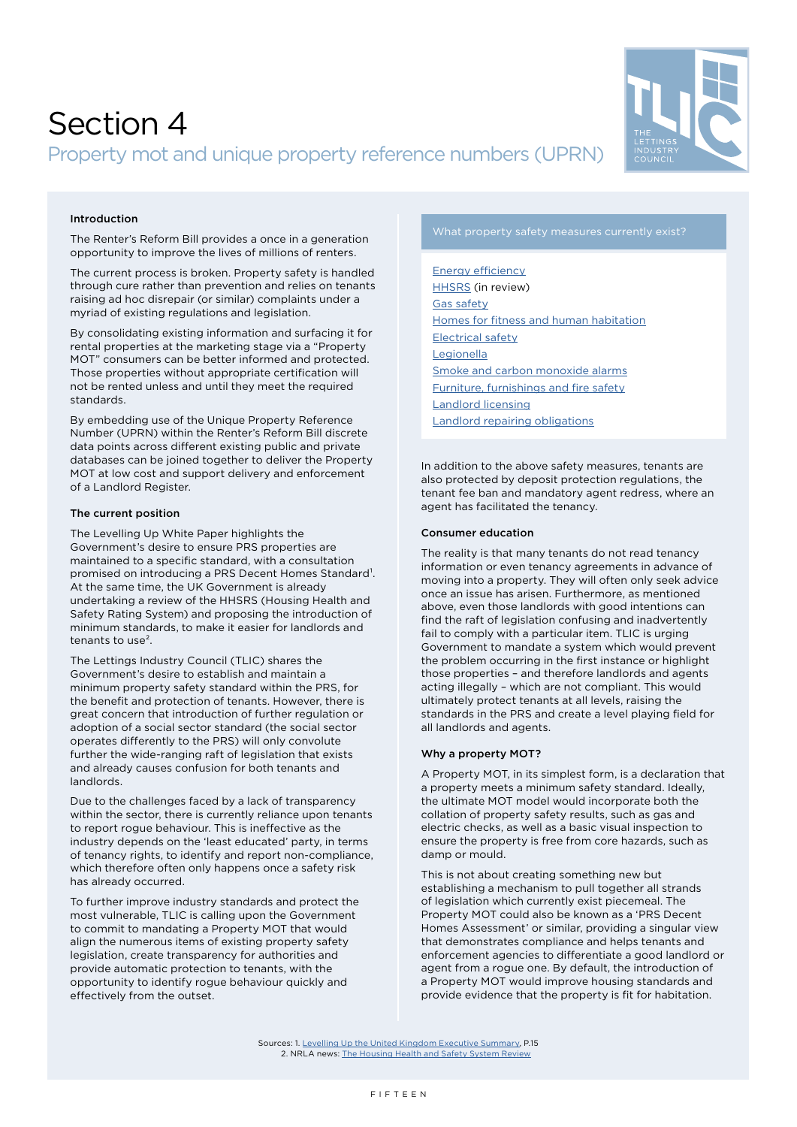

### <span id="page-14-0"></span>Section 4 Property mot and unique property reference numbers (UPRN)

#### Introduction

The Renter's Reform Bill provides a once in a generation opportunity to improve the lives of millions of renters.

The current process is broken. Property safety is handled through cure rather than prevention and relies on tenants raising ad hoc disrepair (or similar) complaints under a myriad of existing regulations and legislation.

By consolidating existing information and surfacing it for rental properties at the marketing stage via a "Property MOT" consumers can be better informed and protected. Those properties without appropriate certification will not be rented unless and until they meet the required standards.

By embedding use of the Unique Property Reference Number (UPRN) within the Renter's Reform Bill discrete data points across different existing public and private databases can be joined together to deliver the Property MOT at low cost and support delivery and enforcement of a Landlord Register.

#### The current position

The Levelling Up White Paper highlights the Government's desire to ensure PRS properties are maintained to a specific standard, with a consultation promised on introducing a PRS Decent Homes Standard<sup>1</sup>. At the same time, the UK Government is already undertaking a review of the HHSRS (Housing Health and Safety Rating System) and proposing the introduction of minimum standards, to make it easier for landlords and tenants to use².

The Lettings Industry Council (TLIC) shares the Government's desire to establish and maintain a minimum property safety standard within the PRS, for the benefit and protection of tenants. However, there is great concern that introduction of further regulation or adoption of a social sector standard (the social sector operates differently to the PRS) will only convolute further the wide-ranging raft of legislation that exists and already causes confusion for both tenants and landlords.

Due to the challenges faced by a lack of transparency within the sector, there is currently reliance upon tenants to report rogue behaviour. This is ineffective as the industry depends on the 'least educated' party, in terms of tenancy rights, to identify and report non-compliance, which therefore often only happens once a safety risk has already occurred.

To further improve industry standards and protect the most vulnerable, TLIC is calling upon the Government to commit to mandating a Property MOT that would align the numerous items of existing property safety legislation, create transparency for authorities and provide automatic protection to tenants, with the opportunity to identify rogue behaviour quickly and effectively from the outset.

[Energy efficiency](https://www.legislation.gov.uk/ukdsi/2015/9780111128350/contents) [HHSRS](https://www.gov.uk/government/collections/housing-health-and-safety-rating-system-hhsrs-guidance) (in review) [Gas safety](https://www.legislation.gov.uk/uksi/1998/2451/contents/made) [Homes for fitness and human habitation](https://www.legislation.gov.uk/ukpga/2018/34/enacted) [Electrical safety](https://www.legislation.gov.uk/uksi/2020/312/contents/made) [Legionella](https://www.hse.gov.uk/legionnaires/legionella-landlords-responsibilities.htm) [Smoke and carbon monoxide alarms](https://www.legislation.gov.uk/ukdsi/2015/9780111133439/contents) [Furniture, furnishings and fire safety](https://www.legislation.gov.uk/uksi/1988/1324/contents/made) [Landlord licensing](https://www.legislation.gov.uk/ukpga/2004/34/part/3) [Landlord repairing obligations](https://www.legislation.gov.uk/ukpga/1985/70/crossheading/repairing-obligations)

In addition to the above safety measures, tenants are also protected by deposit protection regulations, the tenant fee ban and mandatory agent redress, where an agent has facilitated the tenancy.

#### Consumer education

The reality is that many tenants do not read tenancy information or even tenancy agreements in advance of moving into a property. They will often only seek advice once an issue has arisen. Furthermore, as mentioned above, even those landlords with good intentions can find the raft of legislation confusing and inadvertently fail to comply with a particular item. TLIC is urging Government to mandate a system which would prevent the problem occurring in the first instance or highlight those properties – and therefore landlords and agents acting illegally – which are not compliant. This would ultimately protect tenants at all levels, raising the standards in the PRS and create a level playing field for all landlords and agents.

#### Why a property MOT?

A Property MOT, in its simplest form, is a declaration that a property meets a minimum safety standard. Ideally, the ultimate MOT model would incorporate both the collation of property safety results, such as gas and electric checks, as well as a basic visual inspection to ensure the property is free from core hazards, such as damp or mould.

This is not about creating something new but establishing a mechanism to pull together all strands of legislation which currently exist piecemeal. The Property MOT could also be known as a 'PRS Decent Homes Assessment' or similar, providing a singular view that demonstrates compliance and helps tenants and enforcement agencies to differentiate a good landlord or agent from a rogue one. By default, the introduction of a Property MOT would improve housing standards and provide evidence that the property is fit for habitation.

Sources: 1. [Levelling Up the United Kingdom Executive Summary](https://assets.publishing.service.gov.uk/government/uploads/system/uploads/attachment_data/file/1052046/Executive_Summary.pdf), P.15 2. NRLA news: [The Housing Health and Safety System Review](https://www.nrla.org.uk/news/the-hhsrs-review#:~:text=HHSRS%20is%20the%20mechanism%20by,this%20is%20about%20to%20change)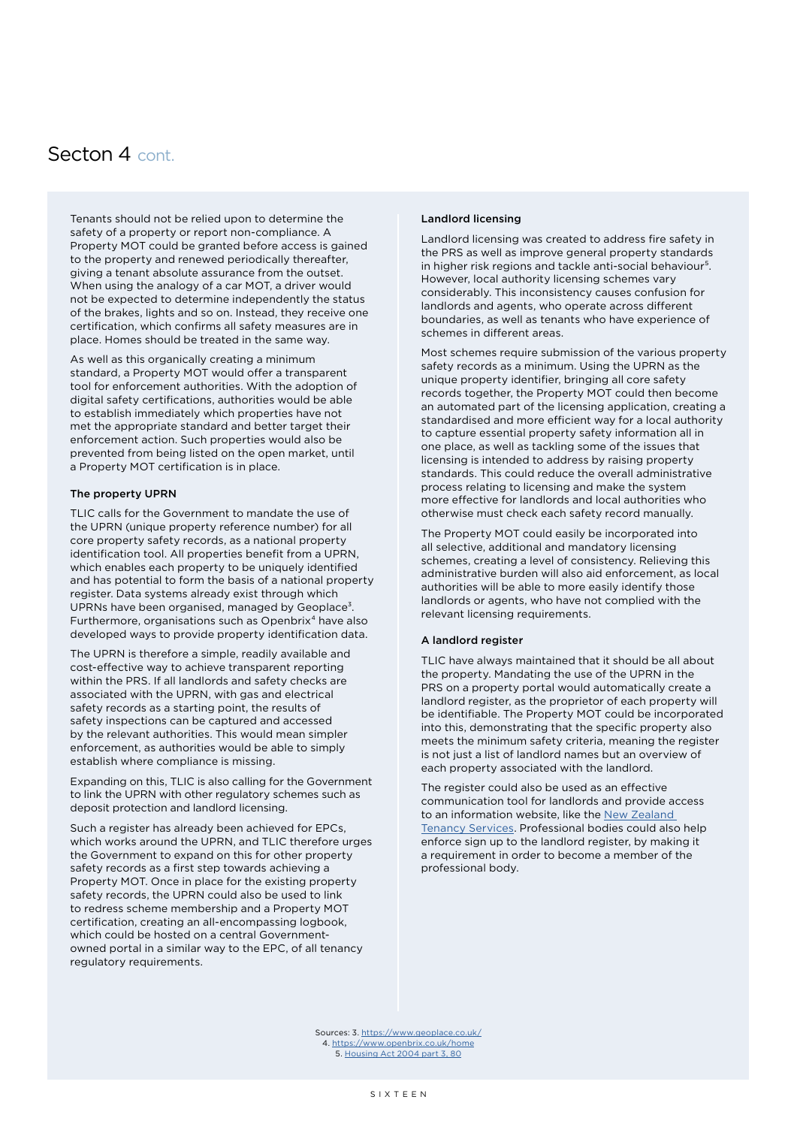#### <span id="page-15-0"></span>Secton 4 cont.

Tenants should not be relied upon to determine the safety of a property or report non-compliance. A Property MOT could be granted before access is gained to the property and renewed periodically thereafter, giving a tenant absolute assurance from the outset. When using the analogy of a car MOT, a driver would not be expected to determine independently the status of the brakes, lights and so on. Instead, they receive one certification, which confirms all safety measures are in place. Homes should be treated in the same way.

As well as this organically creating a minimum standard, a Property MOT would offer a transparent tool for enforcement authorities. With the adoption of digital safety certifications, authorities would be able to establish immediately which properties have not met the appropriate standard and better target their enforcement action. Such properties would also be prevented from being listed on the open market, until a Property MOT certification is in place.

#### The property UPRN

TLIC calls for the Government to mandate the use of the UPRN (unique property reference number) for all core property safety records, as a national property identification tool. All properties benefit from a UPRN, which enables each property to be uniquely identified and has potential to form the basis of a national property register. Data systems already exist through which UPRNs have been organised, managed by Geoplace<sup>3</sup>. Furthermore, organisations such as Openbrix<sup>4</sup> have also developed ways to provide property identification data.

The UPRN is therefore a simple, readily available and cost-effective way to achieve transparent reporting within the PRS. If all landlords and safety checks are associated with the UPRN, with gas and electrical safety records as a starting point, the results of safety inspections can be captured and accessed by the relevant authorities. This would mean simpler enforcement, as authorities would be able to simply establish where compliance is missing.

Expanding on this, TLIC is also calling for the Government to link the UPRN with other regulatory schemes such as deposit protection and landlord licensing.

Such a register has already been achieved for EPCs, which works around the UPRN, and TLIC therefore urges the Government to expand on this for other property safety records as a first step towards achieving a Property MOT. Once in place for the existing property safety records, the UPRN could also be used to link to redress scheme membership and a Property MOT certification, creating an all-encompassing logbook, which could be hosted on a central Governmentowned portal in a similar way to the EPC, of all tenancy regulatory requirements.

#### Landlord licensing

Landlord licensing was created to address fire safety in the PRS as well as improve general property standards in higher risk regions and tackle anti-social behaviour<sup>5</sup>. However, local authority licensing schemes vary considerably. This inconsistency causes confusion for landlords and agents, who operate across different boundaries, as well as tenants who have experience of schemes in different areas.

Most schemes require submission of the various property safety records as a minimum. Using the UPRN as the unique property identifier, bringing all core safety records together, the Property MOT could then become an automated part of the licensing application, creating a standardised and more efficient way for a local authority to capture essential property safety information all in one place, as well as tackling some of the issues that licensing is intended to address by raising property standards. This could reduce the overall administrative process relating to licensing and make the system more effective for landlords and local authorities who otherwise must check each safety record manually.

The Property MOT could easily be incorporated into all selective, additional and mandatory licensing schemes, creating a level of consistency. Relieving this administrative burden will also aid enforcement, as local authorities will be able to more easily identify those landlords or agents, who have not complied with the relevant licensing requirements.

#### A landlord register

TLIC have always maintained that it should be all about the property. Mandating the use of the UPRN in the PRS on a property portal would automatically create a landlord register, as the proprietor of each property will be identifiable. The Property MOT could be incorporated into this, demonstrating that the specific property also meets the minimum safety criteria, meaning the register is not just a list of landlord names but an overview of each property associated with the landlord.

The register could also be used as an effective communication tool for landlords and provide access to an information website, like the [New Zealand](https://www.tenancy.govt.nz)  [Tenancy Services](https://www.tenancy.govt.nz). Professional bodies could also help enforce sign up to the landlord register, by making it a requirement in order to become a member of the professional body.

Sources: 3.<https://www.geoplace.co.uk/> 4.<https://www.openbrix.co.uk/home> 5. [Housing Act 2004 part 3, 80](https://www.legislation.gov.uk/ukpga/2004/34/part/3)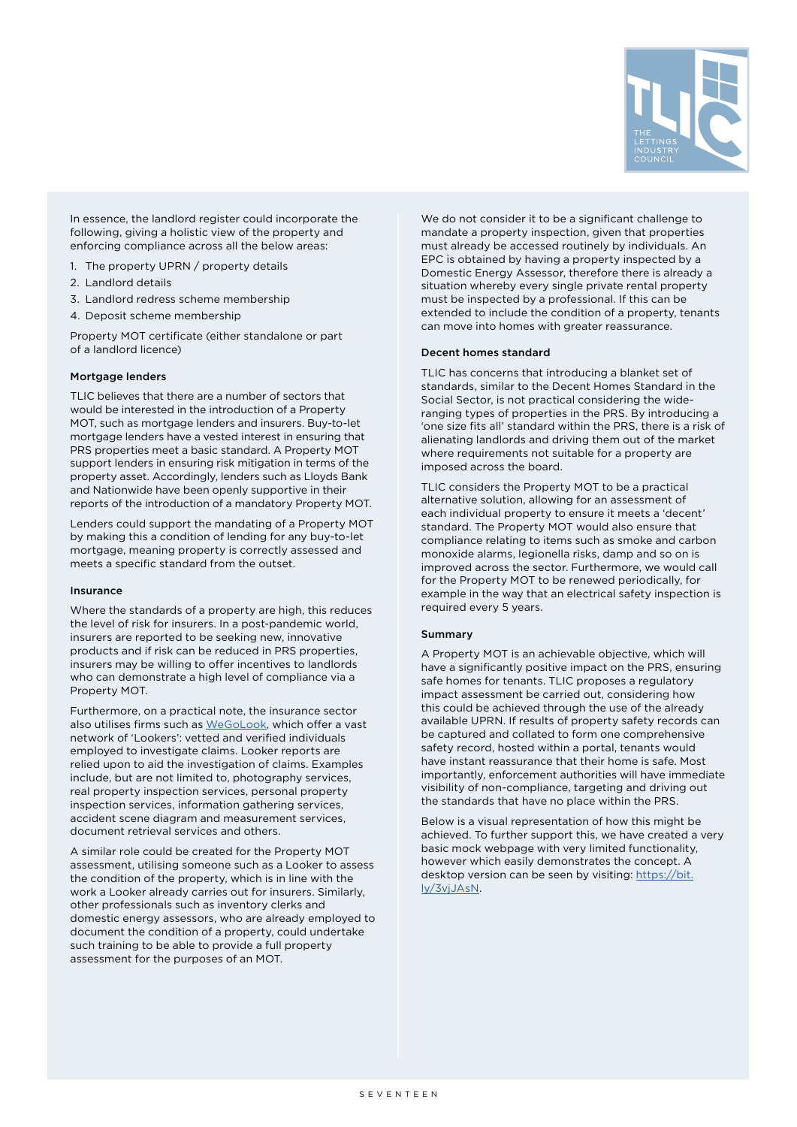

<span id="page-16-0"></span>In essence, the landlord register could incorporate the following, giving a holistic view of the property and enforcing compliance across all the below areas:

- 1. The property UPRN / property details
- 2. Landlord details
- 3. Landlord redress scheme membership
- 4. Deposit scheme membership

Property MOT certificate (either standalone or part of a landlord licence)

#### Mortgage lenders

TLIC believes that there are a number of sectors that would be interested in the introduction of a Property MOT, such as mortgage lenders and insurers. Buy-to-let mortgage lenders have a vested interest in ensuring that PRS properties meet a basic standard. A Property MOT support lenders in ensuring risk mitigation in terms of the property asset. Accordingly, lenders such as Lloyds Bank and Nationwide have been openly supportive in their reports of the introduction of a mandatory Property MOT.

Lenders could support the mandating of a Property MOT by making this a condition of lending for any buy-to-let mortgage, meaning property is correctly assessed and meets a specific standard from the outset.

#### Insurance

Where the standards of a property are high, this reduces the level of risk for insurers. In a post-pandemic world, insurers are reported to be seeking new, innovative products and if risk can be reduced in PRS properties, insurers may be willing to offer incentives to landlords who can demonstrate a high level of compliance via a Property MOT.

Furthermore, on a practical note, the insurance sector also utilises firms such as [WeGoLook]( https://wegolook.com/), which offer a vast network of 'Lookers': vetted and verified individuals employed to investigate claims. Looker reports are relied upon to aid the investigation of claims. Examples include, but are not limited to, photography services, real property inspection services, personal property inspection services, information gathering services, accident scene diagram and measurement services, document retrieval services and others.

A similar role could be created for the Property MOT assessment, utilising someone such as a Looker to assess the condition of the property, which is in line with the work a Looker already carries out for insurers. Similarly, other professionals such as inventory clerks and domestic energy assessors, who are already employed to document the condition of a property, could undertake such training to be able to provide a full property assessment for the purposes of an MOT.

We do not consider it to be a significant challenge to mandate a property inspection, given that properties must already be accessed routinely by individuals. An EPC is obtained by having a property inspected by a Domestic Energy Assessor, therefore there is already a situation whereby every single private rental property must be inspected by a professional. If this can be extended to include the condition of a property, tenants can move into homes with greater reassurance.

#### Decent homes standard

TLIC has concerns that introducing a blanket set of standards, similar to the Decent Homes Standard in the Social Sector, is not practical considering the wideranging types of properties in the PRS. By introducing a 'one size fits all' standard within the PRS, there is a risk of alienating landlords and driving them out of the market where requirements not suitable for a property are imposed across the board.

TLIC considers the Property MOT to be a practical alternative solution, allowing for an assessment of each individual property to ensure it meets a 'decent' standard. The Property MOT would also ensure that compliance relating to items such as smoke and carbon monoxide alarms, legionella risks, damp and so on is improved across the sector. Furthermore, we would call for the Property MOT to be renewed periodically, for example in the way that an electrical safety inspection is required every 5 years.

#### Summary

A Property MOT is an achievable objective, which will have a significantly positive impact on the PRS, ensuring safe homes for tenants. TLIC proposes a regulatory impact assessment be carried out, considering how this could be achieved through the use of the already available UPRN. If results of property safety records can be captured and collated to form one comprehensive safety record, hosted within a portal, tenants would have instant reassurance that their home is safe. Most importantly, enforcement authorities will have immediate visibility of non-compliance, targeting and driving out the standards that have no place within the PRS.

Below is a visual representation of how this might be achieved. To further support this, we have created a very basic mock webpage with very limited functionality, however which easily demonstrates the concept. A desktop version can be seen by visiting: [https://bit.](https://bit.ly/3vjJAsN) [ly/3vjJAsN](https://bit.ly/3vjJAsN).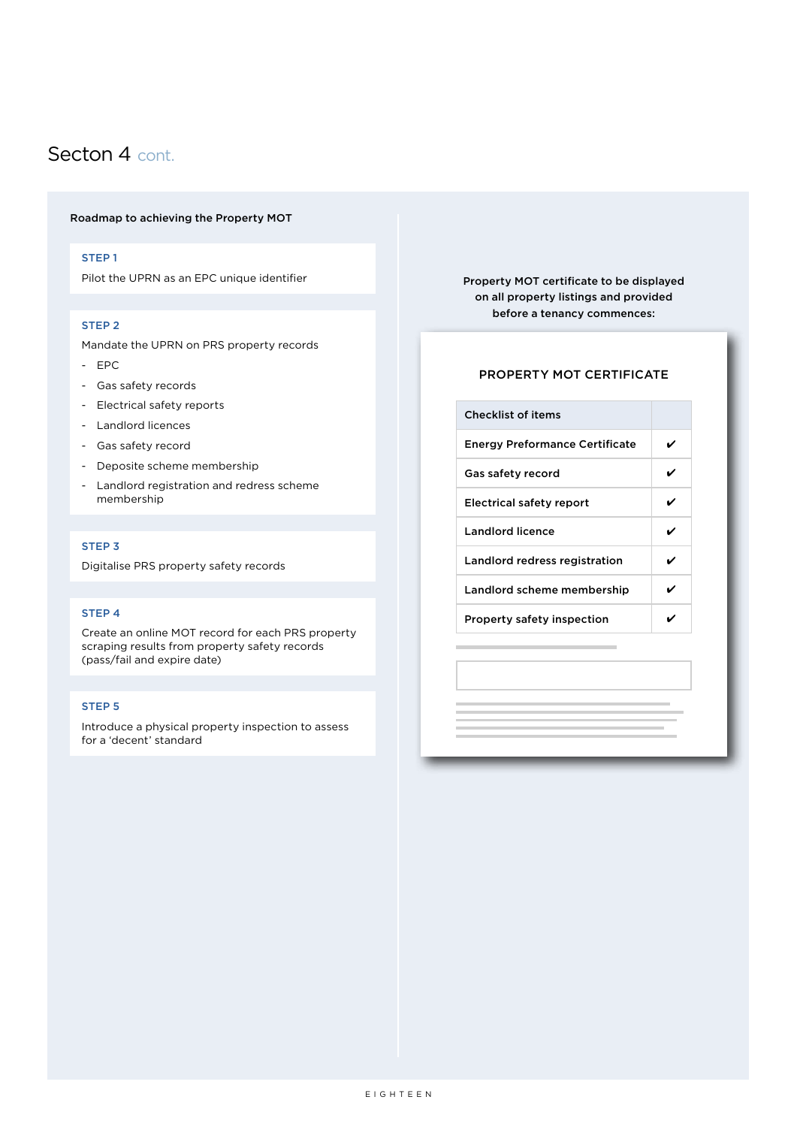#### <span id="page-17-0"></span>Secton 4 cont.

#### Roadmap to achieving the Property MOT

#### STEP 1

Pilot the UPRN as an EPC unique identifier

#### STEP 2

Mandate the UPRN on PRS property records

- EPC
- Gas safety records
- Electrical safety reports
- Landlord licences
- Gas safety record
- Deposite scheme membership
- Landlord registration and redress scheme membership

#### STEP 3

Digitalise PRS property safety records

#### STEP 4

Create an online MOT record for each PRS property scraping results from property safety records (pass/fail and expire date)

#### STEP 5

Introduce a physical property inspection to assess for a 'decent' standard

Property MOT certificate to be displayed on all property listings and provided before a tenancy commences:

#### PROPERTY MOT CERTIFICATE

| <b>Checklist of items</b>             |   |
|---------------------------------------|---|
| <b>Energy Preformance Certificate</b> | ✓ |
| Gas safety record                     | ✔ |
| Electrical safety report              |   |
| <b>Landlord licence</b>               |   |
| Landlord redress registration         | ✔ |
| Landlord scheme membership            | ✔ |
| <b>Property safety inspection</b>     |   |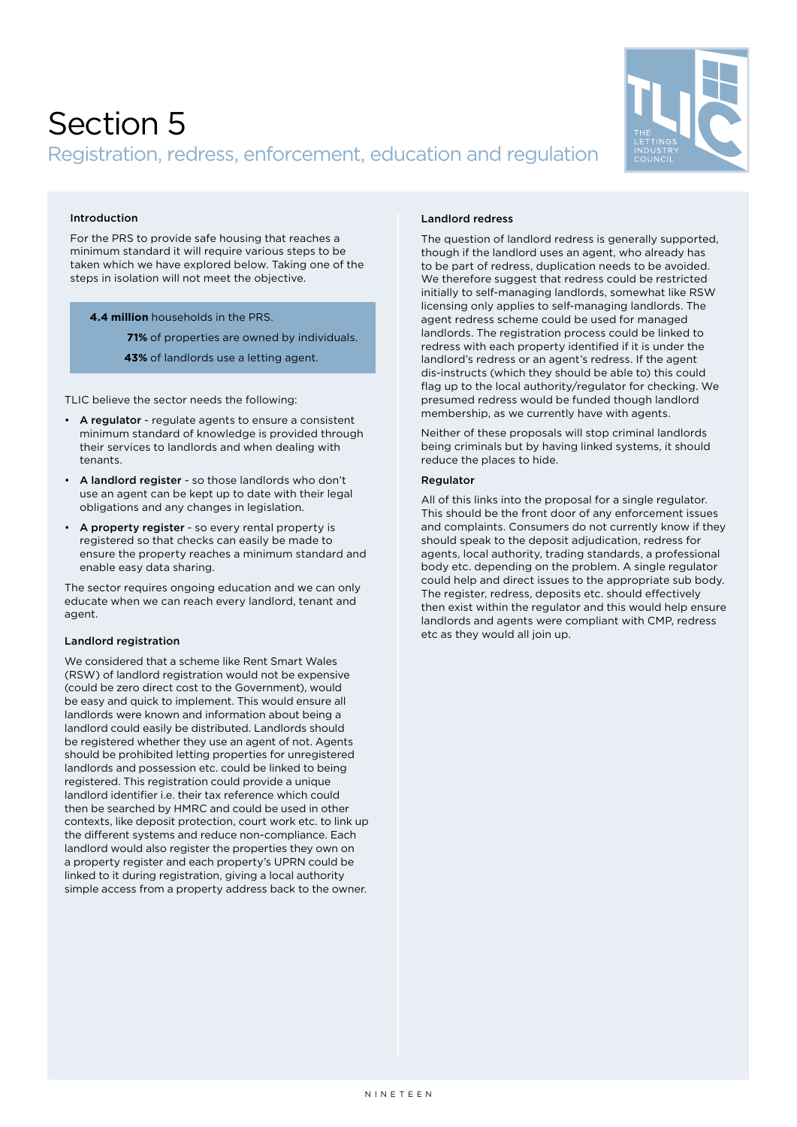### <span id="page-18-0"></span>Section 5

#### Registration, redress, enforcement, education and regulation



#### Introduction

For the PRS to provide safe housing that reaches a minimum standard it will require various steps to be taken which we have explored below. Taking one of the steps in isolation will not meet the objective.

#### **4.4 million** households in the PRS. **4.4 million** households in the PRS.

**71%** of properties are owned by individuals. **71%** of properties are owned by individuals.

**43%** of landlords use a letting agent. **43%** of landlords use a letting agent.

TLIC believe the sector needs the following:

- A regulator regulate agents to ensure a consistent minimum standard of knowledge is provided through their services to landlords and when dealing with tenants.
- A landlord register so those landlords who don't use an agent can be kept up to date with their legal obligations and any changes in legislation.
- A property register so every rental property is registered so that checks can easily be made to ensure the property reaches a minimum standard and enable easy data sharing.

The sector requires ongoing education and we can only educate when we can reach every landlord, tenant and agent.

#### Landlord registration

We considered that a scheme like Rent Smart Wales (RSW) of landlord registration would not be expensive (could be zero direct cost to the Government), would be easy and quick to implement. This would ensure all landlords were known and information about being a landlord could easily be distributed. Landlords should be registered whether they use an agent of not. Agents should be prohibited letting properties for unregistered landlords and possession etc. could be linked to being registered. This registration could provide a unique landlord identifier i.e. their tax reference which could then be searched by HMRC and could be used in other contexts, like deposit protection, court work etc. to link up the different systems and reduce non-compliance. Each landlord would also register the properties they own on a property register and each property's UPRN could be linked to it during registration, giving a local authority simple access from a property address back to the owner.

#### Landlord redress

The question of landlord redress is generally supported, though if the landlord uses an agent, who already has to be part of redress, duplication needs to be avoided. We therefore suggest that redress could be restricted initially to self-managing landlords, somewhat like RSW licensing only applies to self-managing landlords. The agent redress scheme could be used for managed landlords. The registration process could be linked to redress with each property identified if it is under the landlord's redress or an agent's redress. If the agent dis-instructs (which they should be able to) this could flag up to the local authority/regulator for checking. We presumed redress would be funded though landlord membership, as we currently have with agents.

Neither of these proposals will stop criminal landlords being criminals but by having linked systems, it should reduce the places to hide.

#### **Regulator**

All of this links into the proposal for a single regulator. This should be the front door of any enforcement issues and complaints. Consumers do not currently know if they should speak to the deposit adjudication, redress for agents, local authority, trading standards, a professional body etc. depending on the problem. A single regulator could help and direct issues to the appropriate sub body. The register, redress, deposits etc. should effectively then exist within the regulator and this would help ensure landlords and agents were compliant with CMP, redress etc as they would all join up.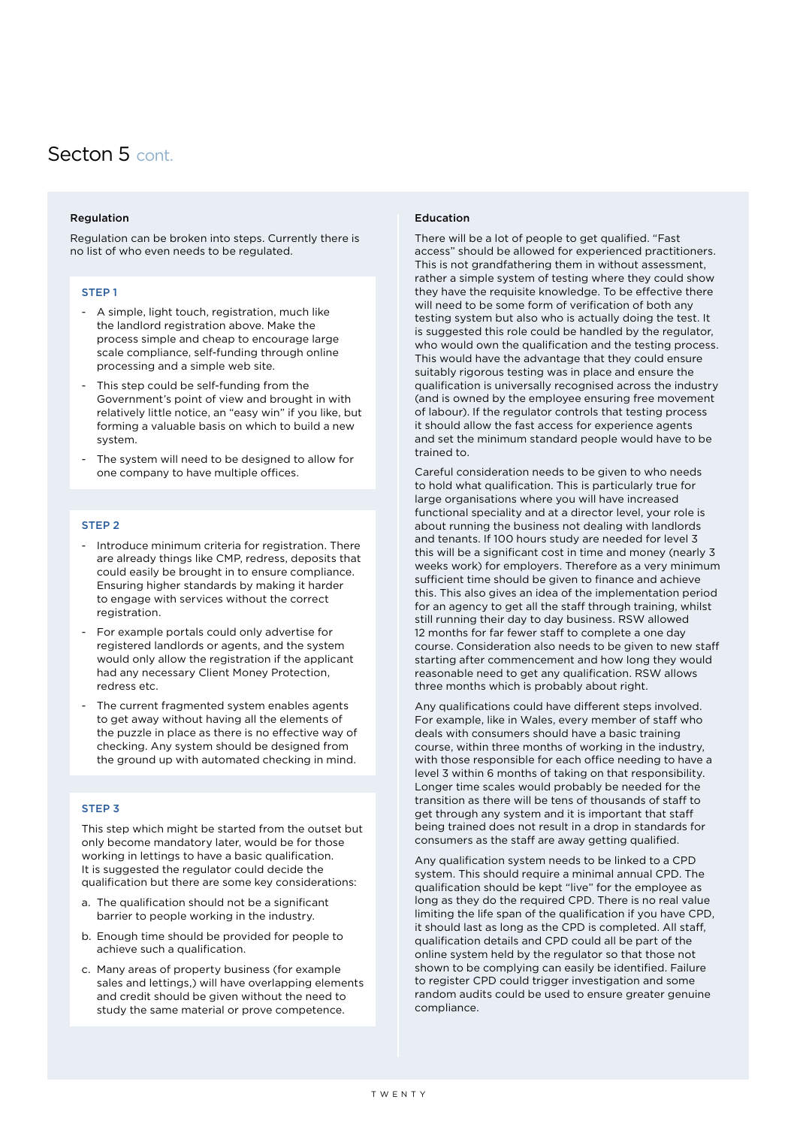#### <span id="page-19-0"></span>Secton 5 cont.

#### Regulation

Regulation can be broken into steps. Currently there is no list of who even needs to be regulated.

#### STEP 1

- A simple, light touch, registration, much like the landlord registration above. Make the process simple and cheap to encourage large scale compliance, self-funding through online processing and a simple web site.
- This step could be self-funding from the Government's point of view and brought in with relatively little notice, an "easy win" if you like, but forming a valuable basis on which to build a new system.
- The system will need to be designed to allow for one company to have multiple offices.

#### STEP 2

- Introduce minimum criteria for registration. There are already things like CMP, redress, deposits that could easily be brought in to ensure compliance. Ensuring higher standards by making it harder to engage with services without the correct registration.
- For example portals could only advertise for registered landlords or agents, and the system would only allow the registration if the applicant had any necessary Client Money Protection, redress etc.
- The current fragmented system enables agents to get away without having all the elements of the puzzle in place as there is no effective way of checking. Any system should be designed from the ground up with automated checking in mind.

#### STEP 3

This step which might be started from the outset but only become mandatory later, would be for those working in lettings to have a basic qualification. It is suggested the regulator could decide the qualification but there are some key considerations:

- a. The qualification should not be a significant barrier to people working in the industry.
- b. Enough time should be provided for people to achieve such a qualification.
- c. Many areas of property business (for example sales and lettings,) will have overlapping elements and credit should be given without the need to study the same material or prove competence.

#### Education

There will be a lot of people to get qualified. "Fast access" should be allowed for experienced practitioners. This is not grandfathering them in without assessment, rather a simple system of testing where they could show they have the requisite knowledge. To be effective there will need to be some form of verification of both any testing system but also who is actually doing the test. It is suggested this role could be handled by the regulator, who would own the qualification and the testing process. This would have the advantage that they could ensure suitably rigorous testing was in place and ensure the qualification is universally recognised across the industry (and is owned by the employee ensuring free movement of labour). If the regulator controls that testing process it should allow the fast access for experience agents and set the minimum standard people would have to be trained to.

Careful consideration needs to be given to who needs to hold what qualification. This is particularly true for large organisations where you will have increased functional speciality and at a director level, your role is about running the business not dealing with landlords and tenants. If 100 hours study are needed for level 3 this will be a significant cost in time and money (nearly 3 weeks work) for employers. Therefore as a very minimum sufficient time should be given to finance and achieve this. This also gives an idea of the implementation period for an agency to get all the staff through training, whilst still running their day to day business. RSW allowed 12 months for far fewer staff to complete a one day course. Consideration also needs to be given to new staff starting after commencement and how long they would reasonable need to get any qualification. RSW allows three months which is probably about right.

Any qualifications could have different steps involved. For example, like in Wales, every member of staff who deals with consumers should have a basic training course, within three months of working in the industry, with those responsible for each office needing to have a level 3 within 6 months of taking on that responsibility. Longer time scales would probably be needed for the transition as there will be tens of thousands of staff to get through any system and it is important that staff being trained does not result in a drop in standards for consumers as the staff are away getting qualified.

Any qualification system needs to be linked to a CPD system. This should require a minimal annual CPD. The qualification should be kept "live" for the employee as long as they do the required CPD. There is no real value limiting the life span of the qualification if you have CPD, it should last as long as the CPD is completed. All staff, qualification details and CPD could all be part of the online system held by the regulator so that those not shown to be complying can easily be identified. Failure to register CPD could trigger investigation and some random audits could be used to ensure greater genuine compliance.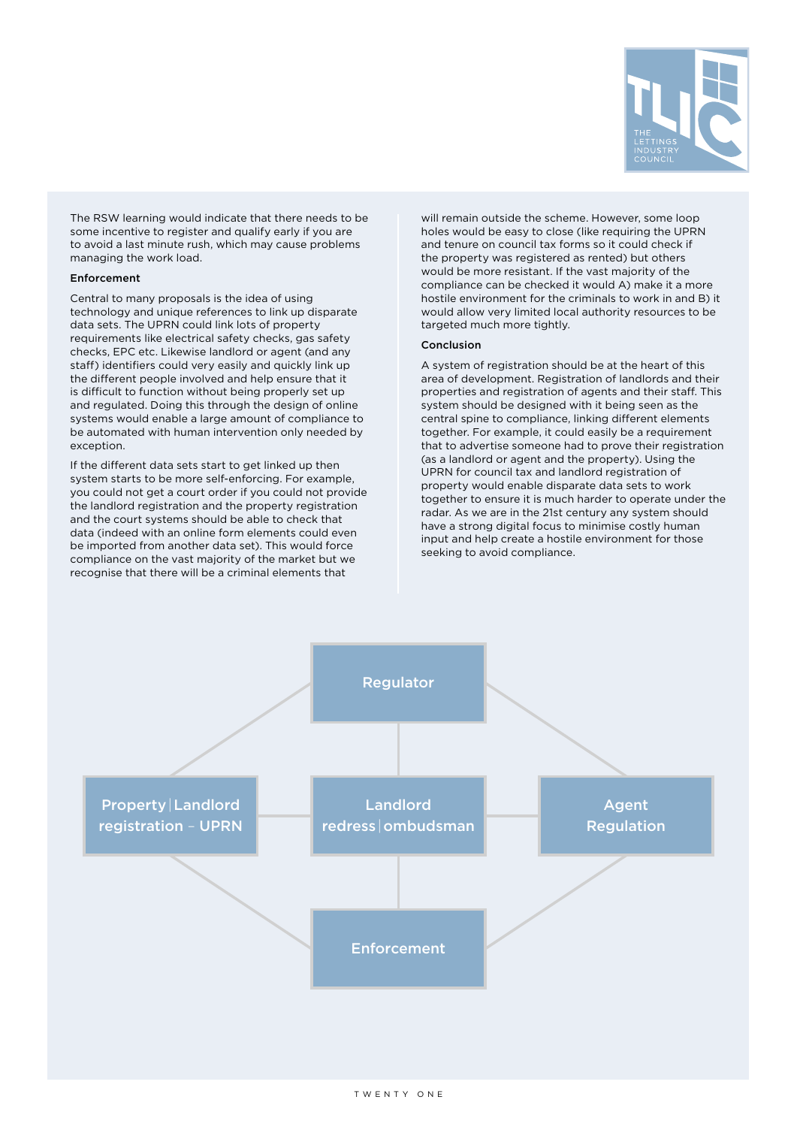

<span id="page-20-0"></span>The RSW learning would indicate that there needs to be some incentive to register and qualify early if you are to avoid a last minute rush, which may cause problems managing the work load.

#### Enforcement

Central to many proposals is the idea of using technology and unique references to link up disparate data sets. The UPRN could link lots of property requirements like electrical safety checks, gas safety checks, EPC etc. Likewise landlord or agent (and any staff) identifiers could very easily and quickly link up the different people involved and help ensure that it is difficult to function without being properly set up and regulated. Doing this through the design of online systems would enable a large amount of compliance to be automated with human intervention only needed by exception.

If the different data sets start to get linked up then system starts to be more self-enforcing. For example, you could not get a court order if you could not provide the landlord registration and the property registration and the court systems should be able to check that data (indeed with an online form elements could even be imported from another data set). This would force compliance on the vast majority of the market but we recognise that there will be a criminal elements that

will remain outside the scheme. However, some loop holes would be easy to close (like requiring the UPRN and tenure on council tax forms so it could check if the property was registered as rented) but others would be more resistant. If the vast majority of the compliance can be checked it would A) make it a more hostile environment for the criminals to work in and B) it would allow very limited local authority resources to be targeted much more tightly.

#### Conclusion

A system of registration should be at the heart of this area of development. Registration of landlords and their properties and registration of agents and their staff. This system should be designed with it being seen as the central spine to compliance, linking different elements together. For example, it could easily be a requirement that to advertise someone had to prove their registration (as a landlord or agent and the property). Using the UPRN for council tax and landlord registration of property would enable disparate data sets to work together to ensure it is much harder to operate under the radar. As we are in the 21st century any system should have a strong digital focus to minimise costly human input and help create a hostile environment for those seeking to avoid compliance.

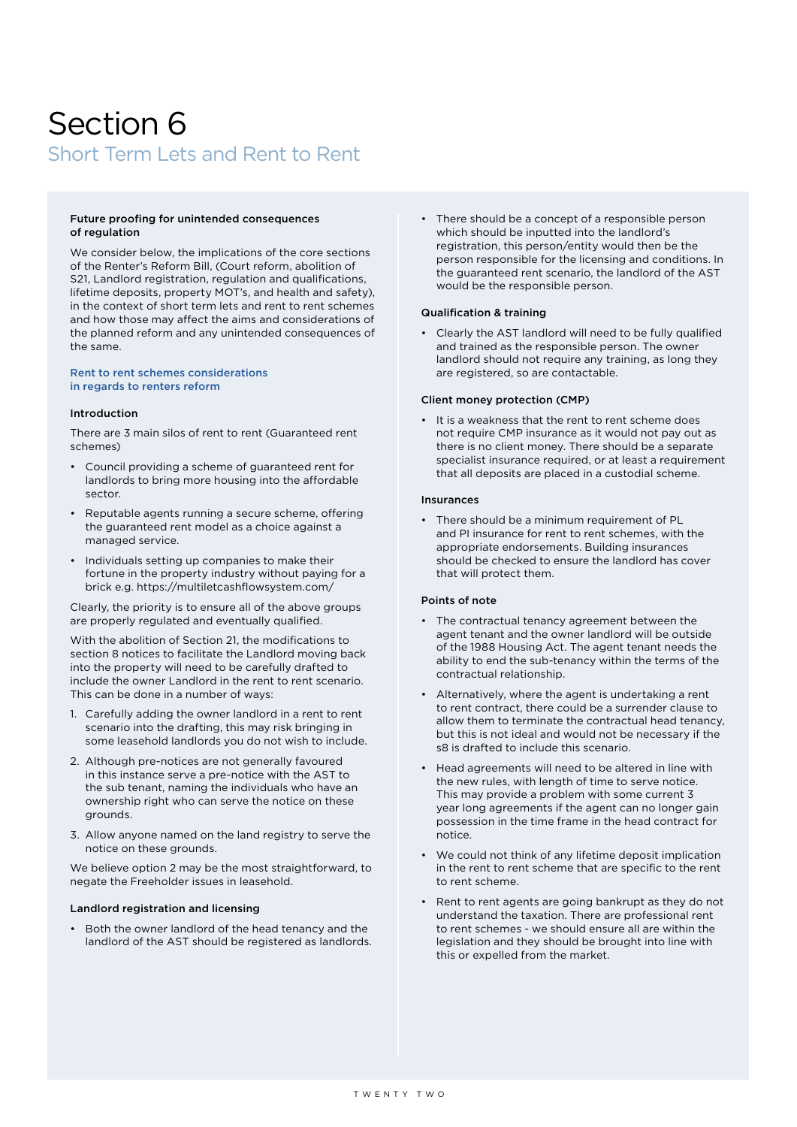### <span id="page-21-0"></span>Section 6 Short Term Lets and Rent to Rent

#### Future proofing for unintended consequences of regulation

We consider below, the implications of the core sections of the Renter's Reform Bill, (Court reform, abolition of S21, Landlord registration, regulation and qualifications, lifetime deposits, property MOT's, and health and safety), in the context of short term lets and rent to rent schemes and how those may affect the aims and considerations of the planned reform and any unintended consequences of the same.

#### Rent to rent schemes considerations in regards to renters reform

#### Introduction

There are 3 main silos of rent to rent (Guaranteed rent schemes)

- Council providing a scheme of guaranteed rent for landlords to bring more housing into the affordable sector.
- Reputable agents running a secure scheme, offering the guaranteed rent model as a choice against a managed service.
- Individuals setting up companies to make their fortune in the property industry without paying for a brick e.g. https://multiletcashflowsystem.com/

Clearly, the priority is to ensure all of the above groups are properly regulated and eventually qualified.

With the abolition of Section 21, the modifications to section 8 notices to facilitate the Landlord moving back into the property will need to be carefully drafted to include the owner Landlord in the rent to rent scenario. This can be done in a number of ways:

- 1. Carefully adding the owner landlord in a rent to rent scenario into the drafting, this may risk bringing in some leasehold landlords you do not wish to include.
- 2. Although pre-notices are not generally favoured in this instance serve a pre-notice with the AST to the sub tenant, naming the individuals who have an ownership right who can serve the notice on these grounds.
- 3. Allow anyone named on the land registry to serve the notice on these grounds.

We believe option 2 may be the most straightforward, to negate the Freeholder issues in leasehold.

#### Landlord registration and licensing

• Both the owner landlord of the head tenancy and the landlord of the AST should be registered as landlords. • There should be a concept of a responsible person which should be inputted into the landlord's registration, this person/entity would then be the person responsible for the licensing and conditions. In the guaranteed rent scenario, the landlord of the AST would be the responsible person.

#### Qualification & training

• Clearly the AST landlord will need to be fully qualified and trained as the responsible person. The owner landlord should not require any training, as long they are registered, so are contactable.

#### Client money protection (CMP)

• It is a weakness that the rent to rent scheme does not require CMP insurance as it would not pay out as there is no client money. There should be a separate specialist insurance required, or at least a requirement that all deposits are placed in a custodial scheme.

#### Insurances

• There should be a minimum requirement of PL and PI insurance for rent to rent schemes, with the appropriate endorsements. Building insurances should be checked to ensure the landlord has cover that will protect them.

#### Points of note

- The contractual tenancy agreement between the agent tenant and the owner landlord will be outside of the 1988 Housing Act. The agent tenant needs the ability to end the sub-tenancy within the terms of the contractual relationship.
- Alternatively, where the agent is undertaking a rent to rent contract, there could be a surrender clause to allow them to terminate the contractual head tenancy, but this is not ideal and would not be necessary if the s8 is drafted to include this scenario.
- Head agreements will need to be altered in line with the new rules, with length of time to serve notice. This may provide a problem with some current 3 year long agreements if the agent can no longer gain possession in the time frame in the head contract for notice.
- We could not think of any lifetime deposit implication in the rent to rent scheme that are specific to the rent to rent scheme.
- Rent to rent agents are going bankrupt as they do not understand the taxation. There are professional rent to rent schemes - we should ensure all are within the legislation and they should be brought into line with this or expelled from the market.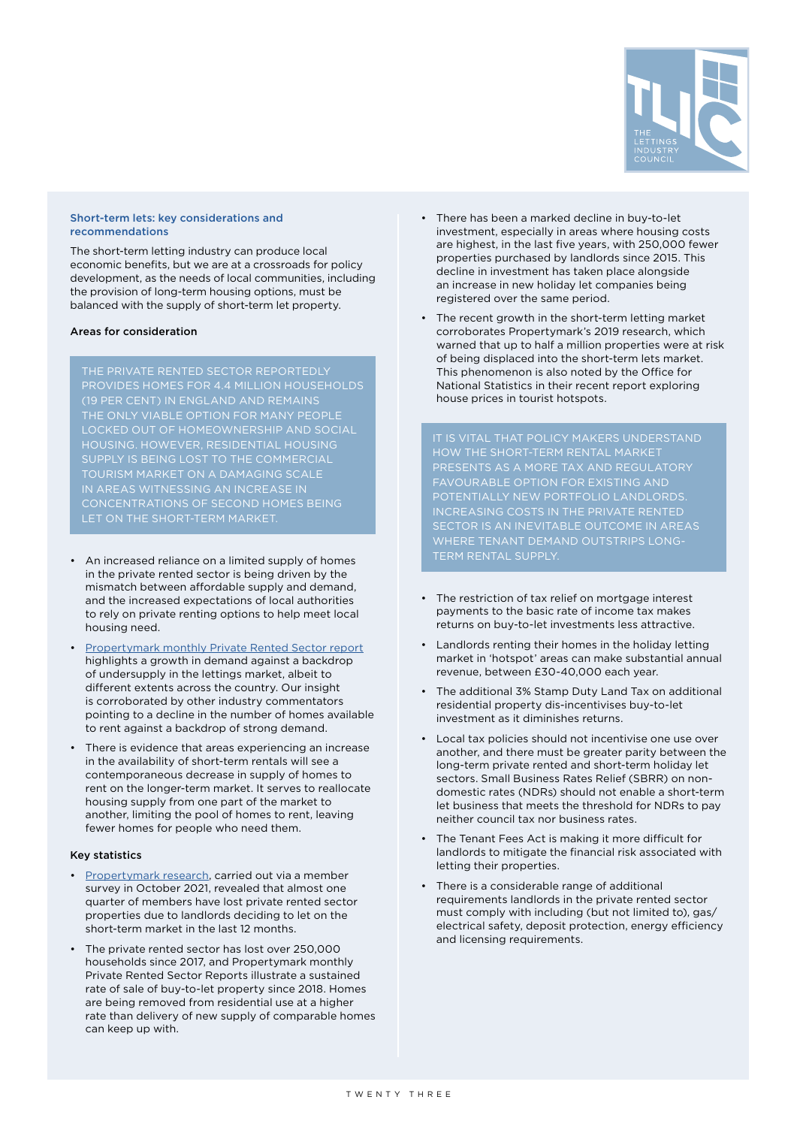

#### <span id="page-22-0"></span>Short-term lets: key considerations and recommendations

The short-term letting industry can produce local economic benefits, but we are at a crossroads for policy development, as the needs of local communities, including the provision of long-term housing options, must be balanced with the supply of short-term let property.

#### Areas for consideration

### SUPPLY IS BEING LOST TO THE COMMERCIAL TOURISM MARKET ON A DAMAGING SCALE IN AREAS WITNESSING AN INCREASE IN CONCENTRATIONS OF SECOND HOMES BEING

LET ON THE SHORT-TERM MARKET.

- An increased reliance on a limited supply of homes in the private rented sector is being driven by the mismatch between affordable supply and demand, and the increased expectations of local authorities to rely on private renting options to help meet local housing need.
- [Propertymark monthly Private Rented Sector report](https://www.propertymark.co.uk/news-reports/prs-report.html) highlights a growth in demand against a backdrop of undersupply in the lettings market, albeit to different extents across the country. Our insight is corroborated by other industry commentators pointing to a decline in the number of homes available to rent against a backdrop of strong demand.
- There is evidence that areas experiencing an increase in the availability of short-term rentals will see a contemporaneous decrease in supply of homes to rent on the longer-term market. It serves to reallocate housing supply from one part of the market to another, limiting the pool of homes to rent, leaving fewer homes for people who need them.

#### Key statistics

- [Propertymark research](https://www.propertymark.co.uk/resource/the-impact-of-short-term-lets.html), carried out via a member survey in October 2021, revealed that almost one quarter of members have lost private rented sector properties due to landlords deciding to let on the short-term market in the last 12 months.
- The private rented sector has lost over 250,000 households since 2017, and Propertymark monthly Private Rented Sector Reports illustrate a sustained rate of sale of buy-to-let property since 2018. Homes are being removed from residential use at a higher rate than delivery of new supply of comparable homes can keep up with.
- There has been a marked decline in buy-to-let investment, especially in areas where housing costs are highest, in the last five years, with 250,000 fewer properties purchased by landlords since 2015. This decline in investment has taken place alongside an increase in new holiday let companies being registered over the same period.
- The recent growth in the short-term letting market corroborates Propertymark's 2019 research, which warned that up to half a million properties were at risk of being displaced into the short-term lets market. This phenomenon is also noted by the Office for National Statistics in their recent report exploring house prices in tourist hotspots.

INCREASING COSTS IN THE PRIVATE RENTED SECTOR IS AN INEVITABLE OUTCOME IN AREAS WHERE TENANT DEMAND OUTSTRIPS LONG-TERM RENTAL SUPPLY.

- The restriction of tax relief on mortgage interest payments to the basic rate of income tax makes returns on buy-to-let investments less attractive.
- Landlords renting their homes in the holiday letting market in 'hotspot' areas can make substantial annual revenue, between £30-40,000 each year.
- The additional 3% Stamp Duty Land Tax on additional residential property dis-incentivises buy-to-let investment as it diminishes returns.
- Local tax policies should not incentivise one use over another, and there must be greater parity between the long-term private rented and short-term holiday let sectors. Small Business Rates Relief (SBRR) on nondomestic rates (NDRs) should not enable a short-term let business that meets the threshold for NDRs to pay neither council tax nor business rates.
- The Tenant Fees Act is making it more difficult for landlords to mitigate the financial risk associated with letting their properties.
- There is a considerable range of additional requirements landlords in the private rented sector must comply with including (but not limited to), gas/ electrical safety, deposit protection, energy efficiency and licensing requirements.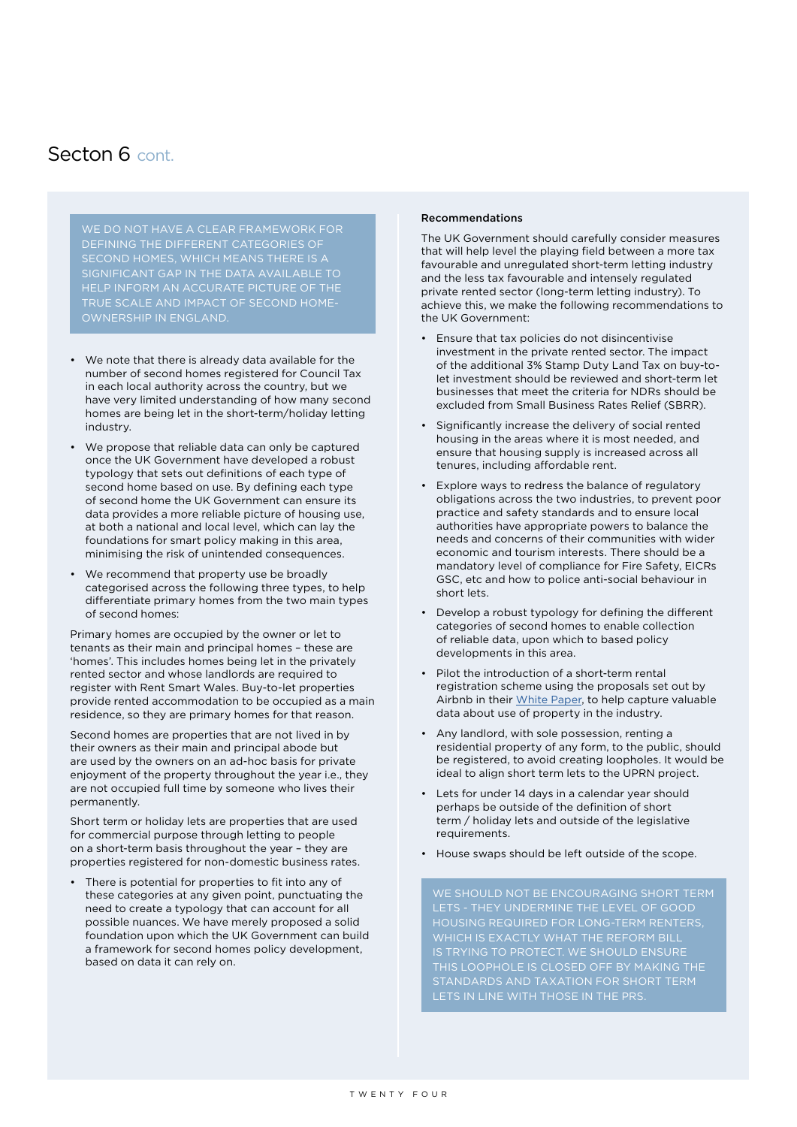#### Secton 6 cont.

WE DO NOT HAVE A CLEAR FRAMEWORK FOR DEFINING THE DIFFERENT CATEGORIES OF SECOND HOMES, WHICH MEANS THERE IS A

- We note that there is already data available for the number of second homes registered for Council Tax in each local authority across the country, but we have very limited understanding of how many second homes are being let in the short-term/holiday letting industry.
- We propose that reliable data can only be captured once the UK Government have developed a robust typology that sets out definitions of each type of second home based on use. By defining each type of second home the UK Government can ensure its data provides a more reliable picture of housing use, at both a national and local level, which can lay the foundations for smart policy making in this area, minimising the risk of unintended consequences.
- We recommend that property use be broadly categorised across the following three types, to help differentiate primary homes from the two main types of second homes:

Primary homes are occupied by the owner or let to tenants as their main and principal homes – these are 'homes'. This includes homes being let in the privately rented sector and whose landlords are required to register with Rent Smart Wales. Buy-to-let properties provide rented accommodation to be occupied as a main residence, so they are primary homes for that reason.

Second homes are properties that are not lived in by their owners as their main and principal abode but are used by the owners on an ad-hoc basis for private enjoyment of the property throughout the year i.e., they are not occupied full time by someone who lives their permanently.

Short term or holiday lets are properties that are used for commercial purpose through letting to people on a short-term basis throughout the year – they are properties registered for non-domestic business rates.

There is potential for properties to fit into any of these categories at any given point, punctuating the need to create a typology that can account for all possible nuances. We have merely proposed a solid foundation upon which the UK Government can build a framework for second homes policy development, based on data it can rely on.

#### Recommendations

The UK Government should carefully consider measures that will help level the playing field between a more tax favourable and unregulated short-term letting industry and the less tax favourable and intensely regulated private rented sector (long-term letting industry). To achieve this, we make the following recommendations to the UK Government:

- Ensure that tax policies do not disincentivise investment in the private rented sector. The impact of the additional 3% Stamp Duty Land Tax on buy-tolet investment should be reviewed and short-term let businesses that meet the criteria for NDRs should be excluded from Small Business Rates Relief (SBRR).
- Significantly increase the delivery of social rented housing in the areas where it is most needed, and ensure that housing supply is increased across all tenures, including affordable rent.
- Explore ways to redress the balance of regulatory obligations across the two industries, to prevent poor practice and safety standards and to ensure local authorities have appropriate powers to balance the needs and concerns of their communities with wider economic and tourism interests. There should be a mandatory level of compliance for Fire Safety, EICRs GSC, etc and how to police anti-social behaviour in short lets.
- Develop a robust typology for defining the different categories of second homes to enable collection of reliable data, upon which to based policy developments in this area.
- Pilot the introduction of a short-term rental registration scheme using the proposals set out by Airbnb in their [White Paper,](https://www.airbnb.co.uk/d/ukwhitepaper) to help capture valuable data about use of property in the industry.
- Any landlord, with sole possession, renting a residential property of any form, to the public, should be registered, to avoid creating loopholes. It would be ideal to align short term lets to the UPRN project.
- Lets for under 14 days in a calendar year should perhaps be outside of the definition of short term / holiday lets and outside of the legislative requirements.
- House swaps should be left outside of the scope.

LETS - THEY UNDERMINE THE LEVEL OF GOOD HOUSING REQUIRED FOR LONG-TERM RENTERS, IS TRYING TO PROTECT. WE SHOULD ENSURE THIS LOOPHOLE IS CLOSED OFF BY MAKING THE STANDARDS AND TAXATION FOR SHORT TERM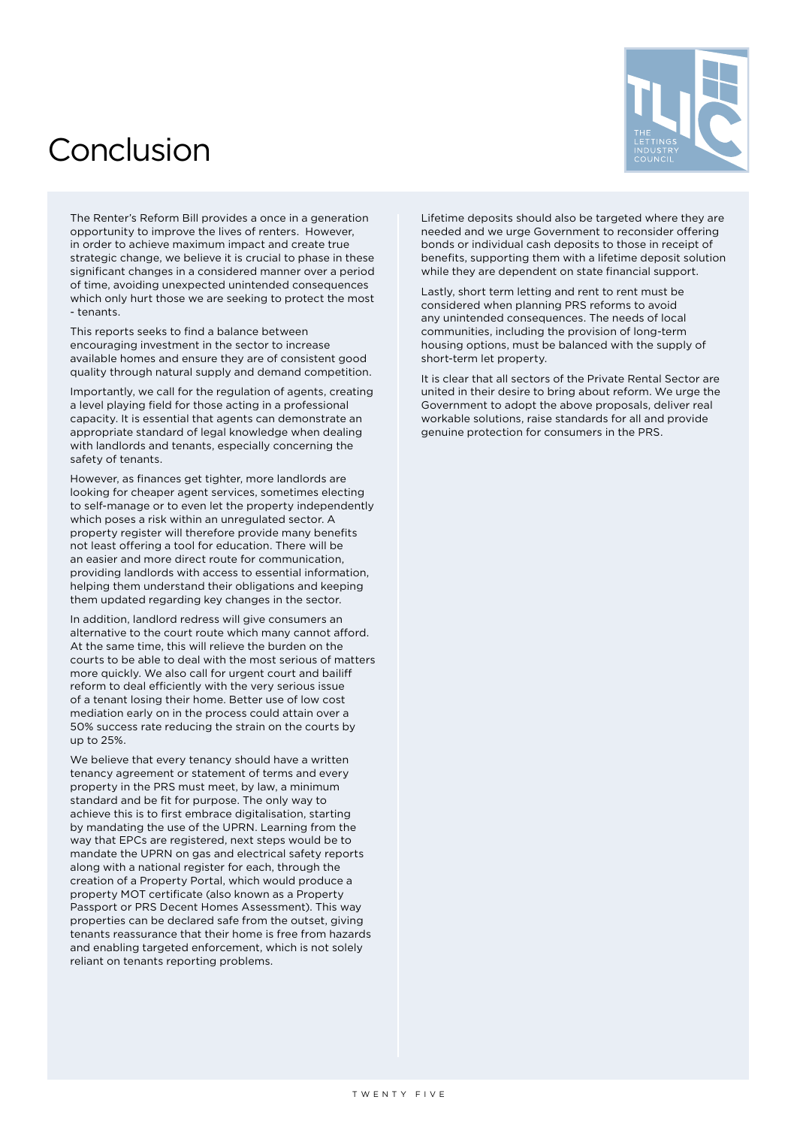### <span id="page-24-0"></span>Conclusion



The Renter's Reform Bill provides a once in a generation opportunity to improve the lives of renters. However, in order to achieve maximum impact and create true strategic change, we believe it is crucial to phase in these significant changes in a considered manner over a period of time, avoiding unexpected unintended consequences which only hurt those we are seeking to protect the most - tenants.

This reports seeks to find a balance between encouraging investment in the sector to increase available homes and ensure they are of consistent good quality through natural supply and demand competition.

Importantly, we call for the regulation of agents, creating a level playing field for those acting in a professional capacity. It is essential that agents can demonstrate an appropriate standard of legal knowledge when dealing with landlords and tenants, especially concerning the safety of tenants.

However, as finances get tighter, more landlords are looking for cheaper agent services, sometimes electing to self-manage or to even let the property independently which poses a risk within an unregulated sector. A property register will therefore provide many benefits not least offering a tool for education. There will be an easier and more direct route for communication, providing landlords with access to essential information, helping them understand their obligations and keeping them updated regarding key changes in the sector.

In addition, landlord redress will give consumers an alternative to the court route which many cannot afford. At the same time, this will relieve the burden on the courts to be able to deal with the most serious of matters more quickly. We also call for urgent court and bailiff reform to deal efficiently with the very serious issue of a tenant losing their home. Better use of low cost mediation early on in the process could attain over a 50% success rate reducing the strain on the courts by up to 25%.

We believe that every tenancy should have a written tenancy agreement or statement of terms and every property in the PRS must meet, by law, a minimum standard and be fit for purpose. The only way to achieve this is to first embrace digitalisation, starting by mandating the use of the UPRN. Learning from the way that EPCs are registered, next steps would be to mandate the UPRN on gas and electrical safety reports along with a national register for each, through the creation of a Property Portal, which would produce a property MOT certificate (also known as a Property Passport or PRS Decent Homes Assessment). This way properties can be declared safe from the outset, giving tenants reassurance that their home is free from hazards and enabling targeted enforcement, which is not solely reliant on tenants reporting problems.

Lifetime deposits should also be targeted where they are needed and we urge Government to reconsider offering bonds or individual cash deposits to those in receipt of benefits, supporting them with a lifetime deposit solution while they are dependent on state financial support.

Lastly, short term letting and rent to rent must be considered when planning PRS reforms to avoid any unintended consequences. The needs of local communities, including the provision of long-term housing options, must be balanced with the supply of short-term let property.

It is clear that all sectors of the Private Rental Sector are united in their desire to bring about reform. We urge the Government to adopt the above proposals, deliver real workable solutions, raise standards for all and provide genuine protection for consumers in the PRS.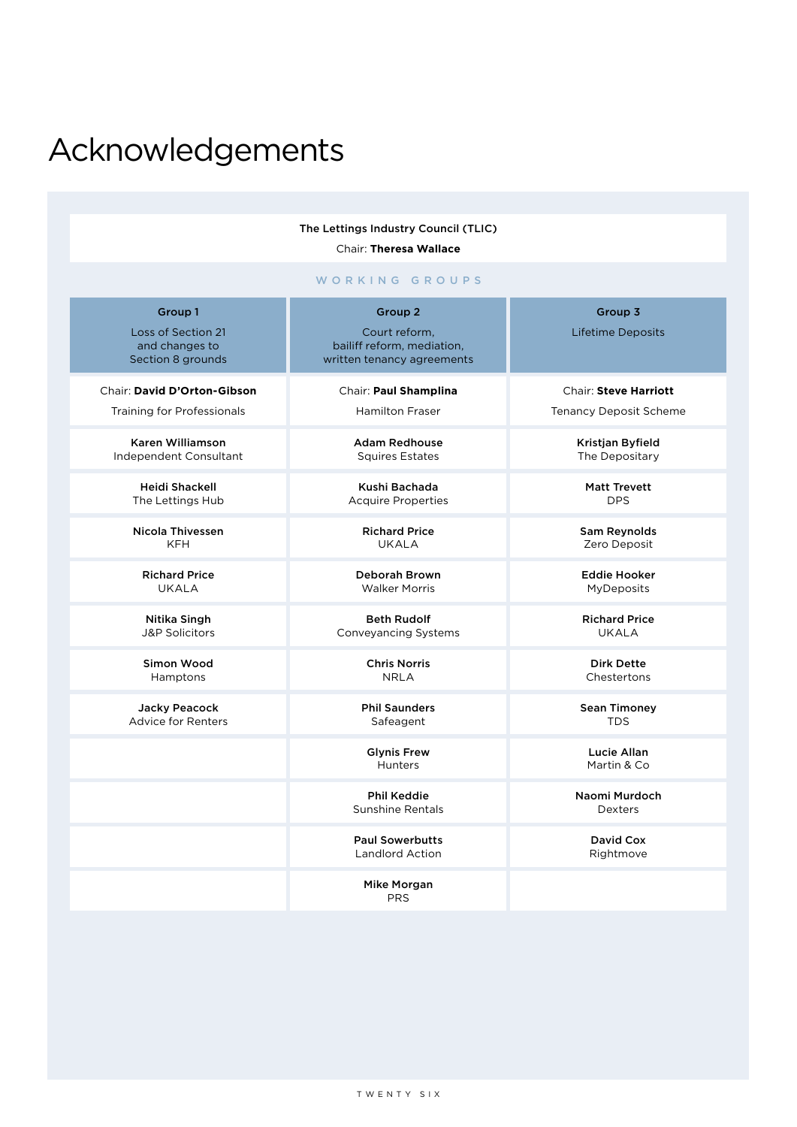### <span id="page-25-0"></span>Acknowledgements

The Lettings Industry Council (TLIC) Chair: **Theresa Wallace**

WORKING GROUPS

| Group 1<br>Loss of Section 21<br>and changes to<br>Section 8 grounds | Group 2<br>Court reform,<br>bailiff reform, mediation,<br>written tenancy agreements | Group 3<br>Lifetime Deposits      |
|----------------------------------------------------------------------|--------------------------------------------------------------------------------------|-----------------------------------|
| Chair: David D'Orton-Gibson                                          | Chair: Paul Shamplina                                                                | Chair: Steve Harriott             |
| <b>Training for Professionals</b>                                    | <b>Hamilton Fraser</b>                                                               | <b>Tenancy Deposit Scheme</b>     |
| Karen Williamson                                                     | <b>Adam Redhouse</b>                                                                 | Kristjan Byfield                  |
| Independent Consultant                                               | <b>Squires Estates</b>                                                               | The Depositary                    |
| <b>Heidi Shackell</b>                                                | Kushi Bachada                                                                        | <b>Matt Trevett</b>               |
| The Lettings Hub                                                     | <b>Acquire Properties</b>                                                            | <b>DPS</b>                        |
| <b>Nicola Thivessen</b>                                              | <b>Richard Price</b>                                                                 | Sam Reynolds                      |
| <b>KFH</b>                                                           | <b>UKALA</b>                                                                         | Zero Deposit                      |
| <b>Richard Price</b>                                                 | Deborah Brown                                                                        | <b>Eddie Hooker</b>               |
| <b>UKALA</b>                                                         | <b>Walker Morris</b>                                                                 | <b>MyDeposits</b>                 |
| Nitika Singh                                                         | <b>Beth Rudolf</b>                                                                   | <b>Richard Price</b>              |
| <b>J&amp;P Solicitors</b>                                            | Conveyancing Systems                                                                 | UKALA                             |
| Simon Wood                                                           | <b>Chris Norris</b>                                                                  | <b>Dirk Dette</b>                 |
| Hamptons                                                             | <b>NRLA</b>                                                                          | Chestertons                       |
| Jacky Peacock                                                        | <b>Phil Saunders</b>                                                                 | <b>Sean Timoney</b>               |
| <b>Advice for Renters</b>                                            | Safeagent                                                                            | <b>TDS</b>                        |
|                                                                      | <b>Glynis Frew</b><br><b>Hunters</b>                                                 | <b>Lucie Allan</b><br>Martin & Co |
|                                                                      | <b>Phil Keddie</b><br><b>Sunshine Rentals</b>                                        | Naomi Murdoch<br>Dexters          |
|                                                                      | <b>Paul Sowerbutts</b><br><b>Landlord Action</b>                                     | David Cox<br>Rightmove            |
|                                                                      | Mike Morgan<br><b>PRS</b>                                                            |                                   |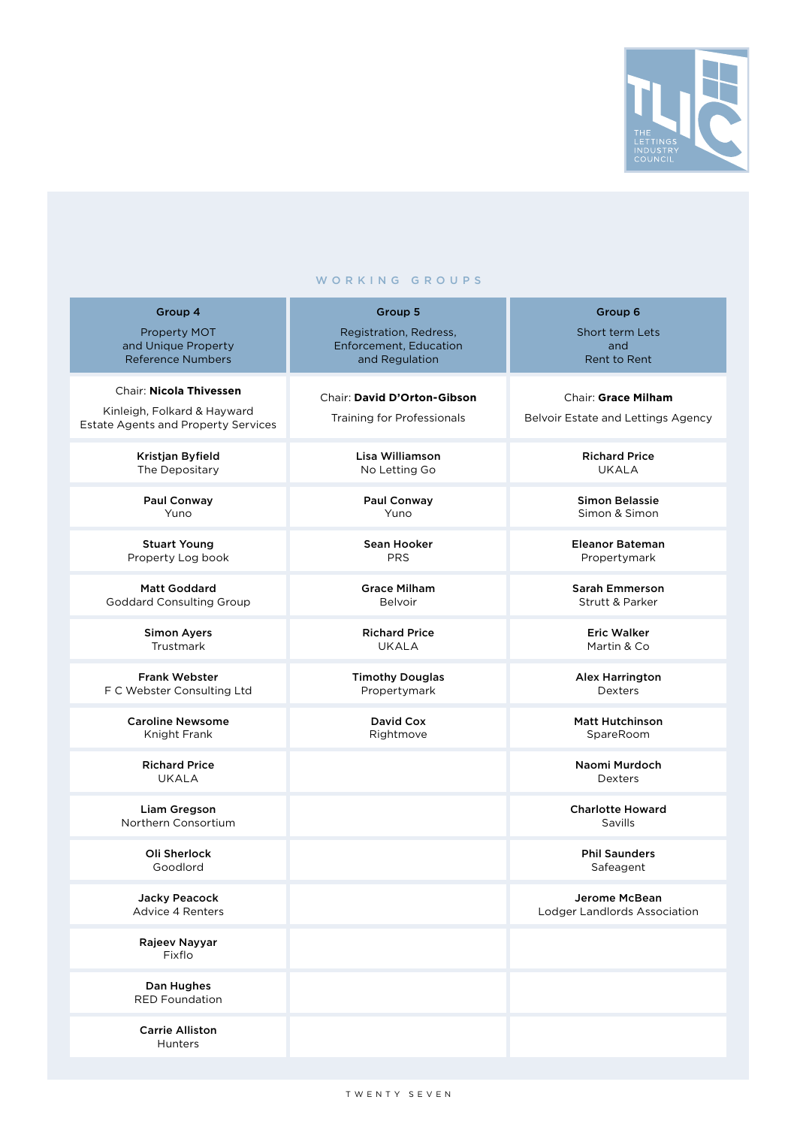

#### WORKING GROUPS

| Group 4                                    | Group 5                       | Group 6                                              |
|--------------------------------------------|-------------------------------|------------------------------------------------------|
| <b>Property MOT</b>                        | Registration, Redress,        | Short term Lets                                      |
| and Unique Property                        | <b>Enforcement, Education</b> | and                                                  |
| <b>Reference Numbers</b>                   | and Regulation                | Rent to Rent                                         |
|                                            |                               |                                                      |
| Chair: Nicola Thivessen                    | Chair: David D'Orton-Gibson   | Chair: Grace Milham                                  |
| Kinleigh, Folkard & Hayward                |                               |                                                      |
| <b>Estate Agents and Property Services</b> | Training for Professionals    | Belvoir Estate and Lettings Agency                   |
|                                            |                               |                                                      |
| Kristjan Byfield                           | Lisa Williamson               | <b>Richard Price</b>                                 |
| The Depositary                             | No Letting Go                 | <b>UKALA</b>                                         |
|                                            |                               |                                                      |
| Paul Conway                                | Paul Conway                   | <b>Simon Belassie</b>                                |
| Yuno                                       | Yuno                          | Simon & Simon                                        |
|                                            |                               |                                                      |
| <b>Stuart Young</b>                        | Sean Hooker                   | <b>Eleanor Bateman</b>                               |
| Property Log book                          | <b>PRS</b>                    | Propertymark                                         |
|                                            |                               |                                                      |
| <b>Matt Goddard</b>                        | <b>Grace Milham</b>           | Sarah Emmerson                                       |
| <b>Goddard Consulting Group</b>            | Belvoir                       | <b>Strutt &amp; Parker</b>                           |
|                                            |                               |                                                      |
| <b>Simon Ayers</b>                         | <b>Richard Price</b>          | <b>Eric Walker</b>                                   |
| Trustmark                                  | <b>UKALA</b>                  | Martin & Co                                          |
|                                            |                               |                                                      |
| <b>Frank Webster</b>                       | <b>Timothy Douglas</b>        | <b>Alex Harrington</b>                               |
| F C Webster Consulting Ltd                 | Propertymark                  | <b>Dexters</b>                                       |
|                                            |                               |                                                      |
| <b>Caroline Newsome</b>                    | David Cox                     | <b>Matt Hutchinson</b>                               |
| Knight Frank                               | Rightmove                     | SpareRoom                                            |
|                                            |                               |                                                      |
| <b>Richard Price</b>                       |                               | Naomi Murdoch                                        |
| <b>UKALA</b>                               |                               | <b>Dexters</b>                                       |
|                                            |                               |                                                      |
| Liam Gregson                               |                               | <b>Charlotte Howard</b>                              |
| Northern Consortium                        |                               | Savills                                              |
|                                            |                               |                                                      |
| Oli Sherlock                               |                               | <b>Phil Saunders</b>                                 |
| Goodlord                                   |                               | Safeagent                                            |
|                                            |                               |                                                      |
| Jacky Peacock<br>Advice 4 Renters          |                               | <b>Jerome McBean</b><br>Lodger Landlords Association |
|                                            |                               |                                                      |
| Rajeev Nayyar                              |                               |                                                      |
| Fixflo                                     |                               |                                                      |
|                                            |                               |                                                      |
| Dan Hughes                                 |                               |                                                      |
| <b>RED Foundation</b>                      |                               |                                                      |
|                                            |                               |                                                      |
| <b>Carrie Alliston</b>                     |                               |                                                      |
| <b>Hunters</b>                             |                               |                                                      |
|                                            |                               |                                                      |